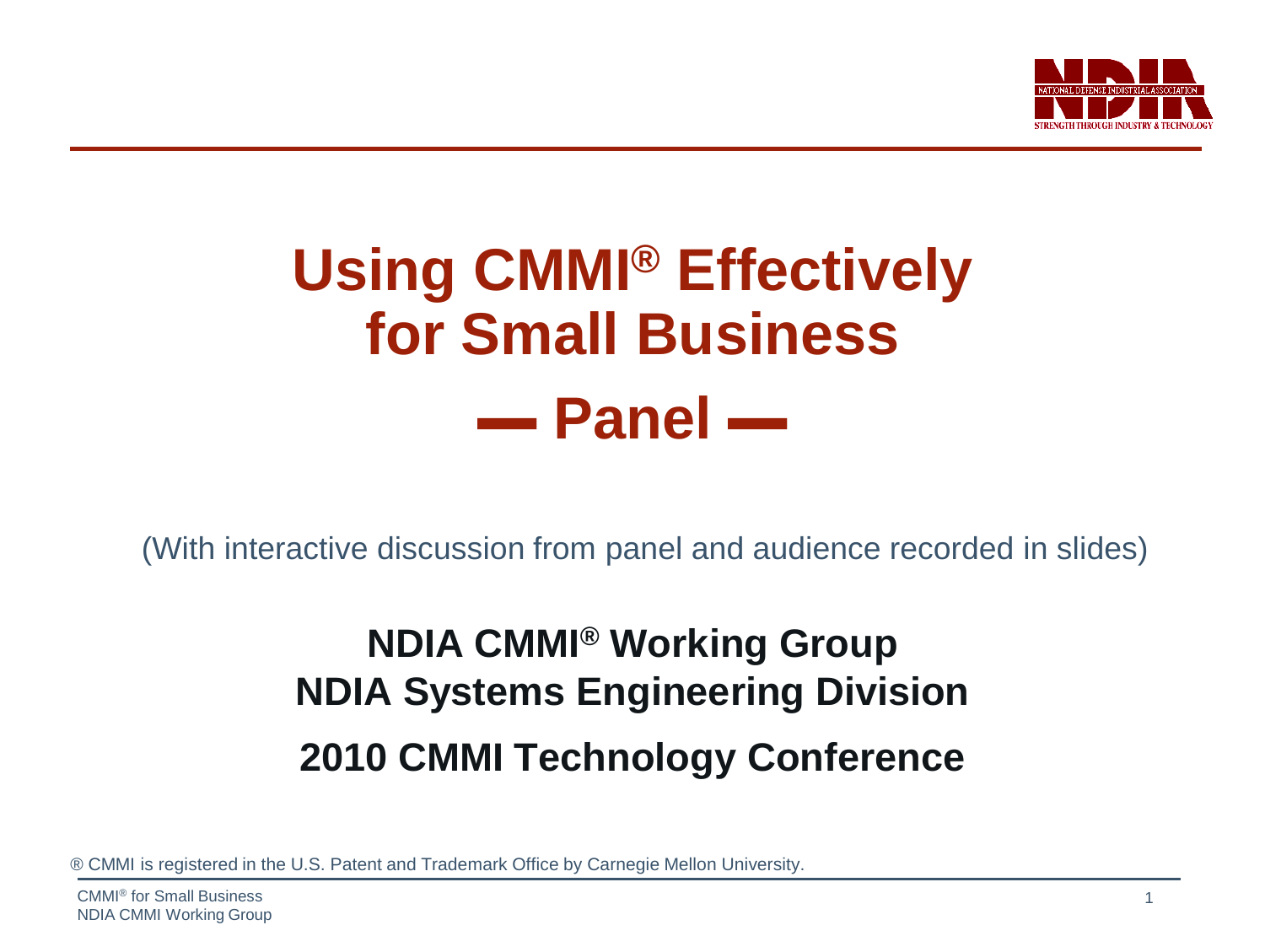

### **Using CMMI® Effectively for Small Business ▬ Panel ▬**

(With interactive discussion from panel and audience recorded in slides)

### **NDIA CMMI® Working Group NDIA Systems Engineering Division 2010 CMMI Technology Conference**

® CMMI is registered in the U.S. Patent and Trademark Office by Carnegie Mellon University.

CMMI® for Small Business NDIA CMMI Working Group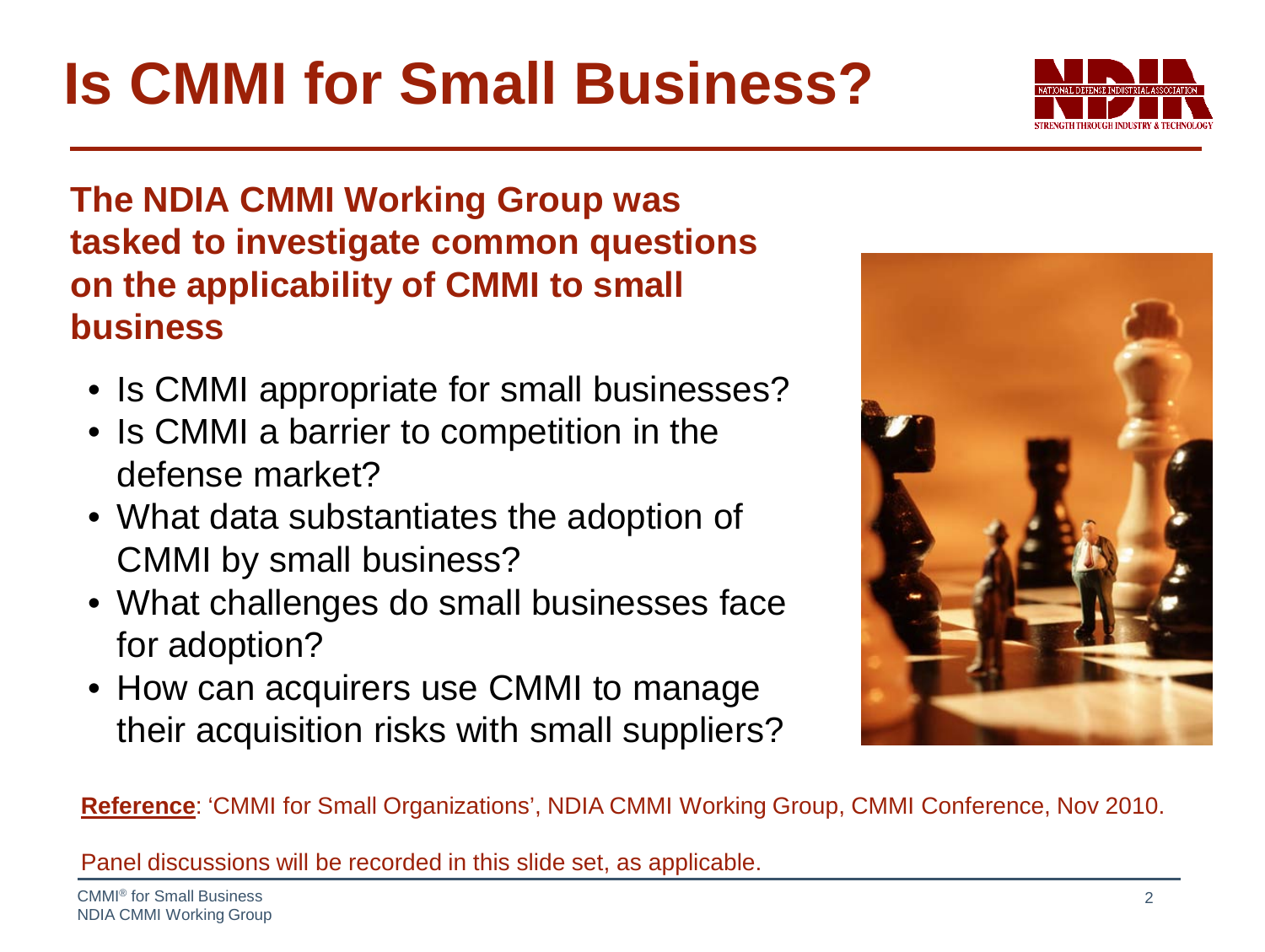**Is CMMI for Small Business?**

#### **The NDIA CMMI Working Group was tasked to investigate common questions on the applicability of CMMI to small business**

- Is CMMI appropriate for small businesses?
- Is CMMI a barrier to competition in the defense market?
- What data substantiates the adoption of CMMI by small business?
- What challenges do small businesses face for adoption?
- How can acquirers use CMMI to manage their acquisition risks with small suppliers?

**Reference**: 'CMMI for Small Organizations', NDIA CMMI Working Group, CMMI Conference, Nov 2010.

Panel discussions will be recorded in this slide set, as applicable.



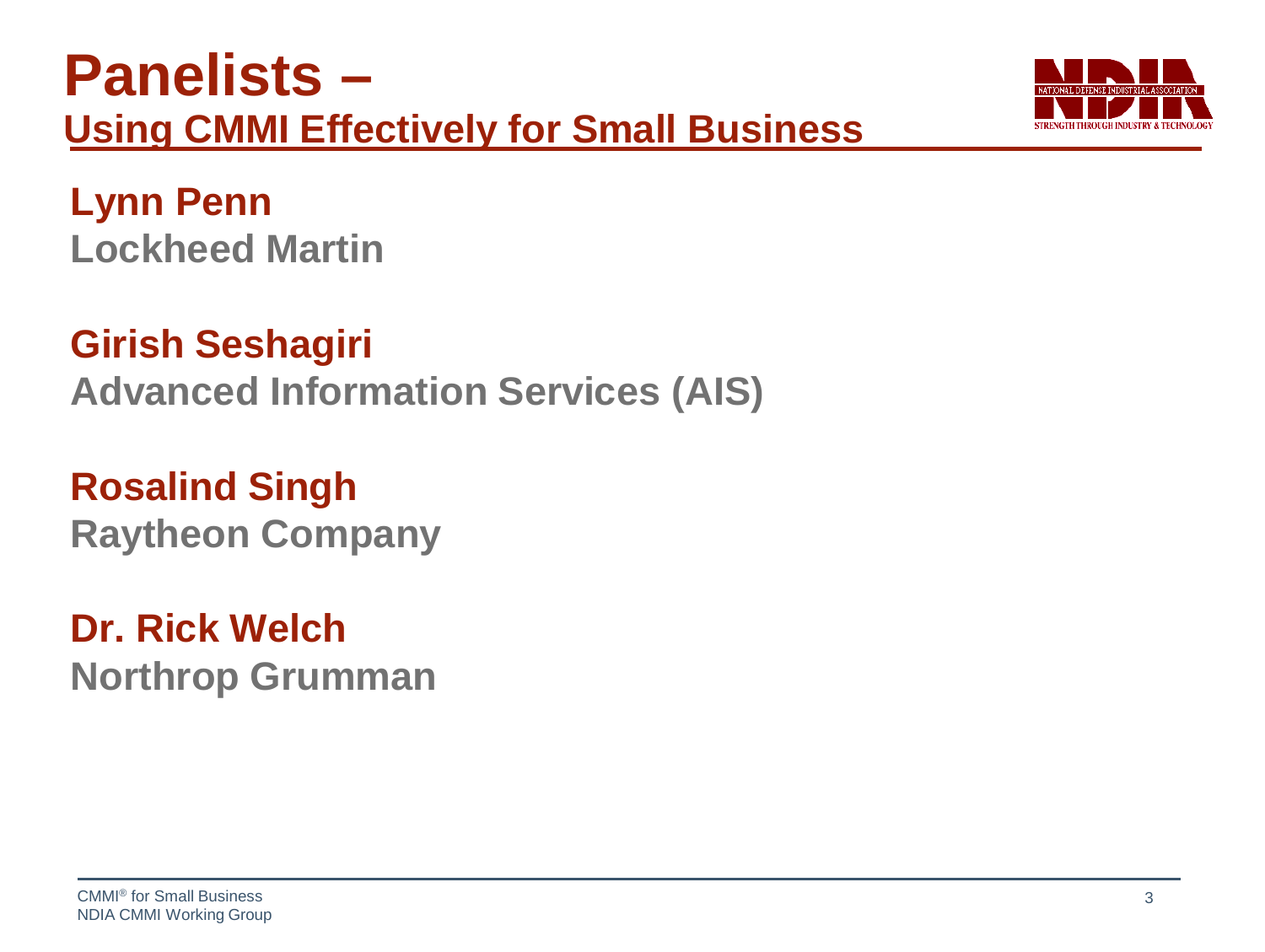### **Panelists – Using CMMI Effectively for Small Business**



**Lynn Penn Lockheed Martin**

**Girish Seshagiri Advanced Information Services (AIS)**

**Rosalind Singh Raytheon Company**

**Dr. Rick Welch Northrop Grumman**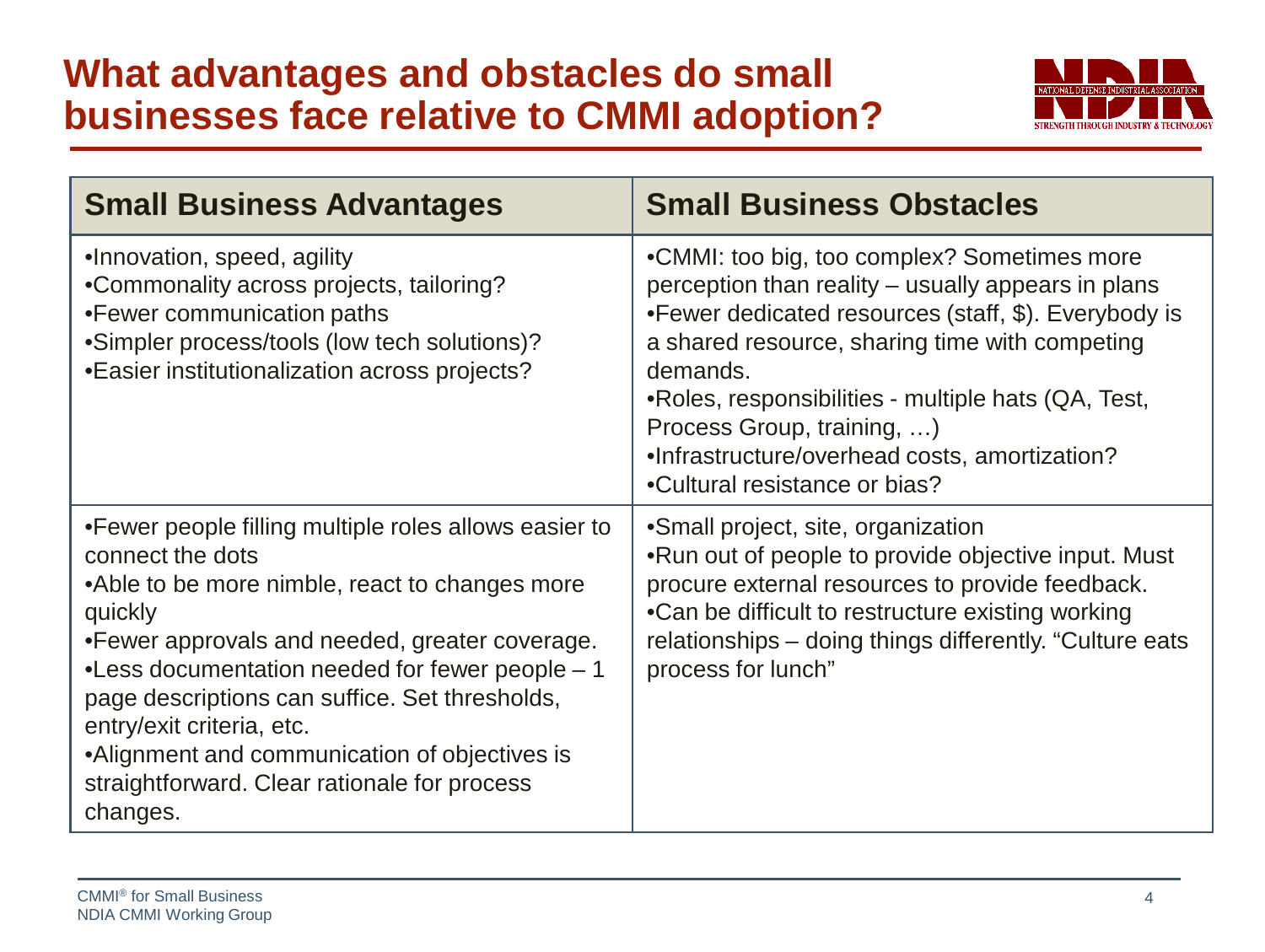#### **What advantages and obstacles do small businesses face relative to CMMI adoption?**



| <b>Small Business Advantages</b>                                                                                                                                                                                                                                                                                                                                                                                                         | <b>Small Business Obstacles</b>                                                                                                                                                                                                                                                                                                                                                                |
|------------------------------------------------------------------------------------------------------------------------------------------------------------------------------------------------------------------------------------------------------------------------------------------------------------------------------------------------------------------------------------------------------------------------------------------|------------------------------------------------------------------------------------------------------------------------------------------------------------------------------------------------------------------------------------------------------------------------------------------------------------------------------------------------------------------------------------------------|
| •Innovation, speed, agility<br>•Commonality across projects, tailoring?<br>•Fewer communication paths<br>•Simpler process/tools (low tech solutions)?<br>•Easier institutionalization across projects?                                                                                                                                                                                                                                   | •CMMI: too big, too complex? Sometimes more<br>perception than reality – usually appears in plans<br>•Fewer dedicated resources (staff, \$). Everybody is<br>a shared resource, sharing time with competing<br>demands.<br>•Roles, responsibilities - multiple hats (QA, Test,<br>Process Group, training, )<br>.Infrastructure/overhead costs, amortization?<br>•Cultural resistance or bias? |
| • Fewer people filling multiple roles allows easier to<br>connect the dots<br>•Able to be more nimble, react to changes more<br>quickly<br>•Fewer approvals and needed, greater coverage.<br>•Less documentation needed for fewer people - 1<br>page descriptions can suffice. Set thresholds,<br>entry/exit criteria, etc.<br>•Alignment and communication of objectives is<br>straightforward. Clear rationale for process<br>changes. | •Small project, site, organization<br>.Run out of people to provide objective input. Must<br>procure external resources to provide feedback.<br>•Can be difficult to restructure existing working<br>relationships – doing things differently. "Culture eats<br>process for lunch"                                                                                                             |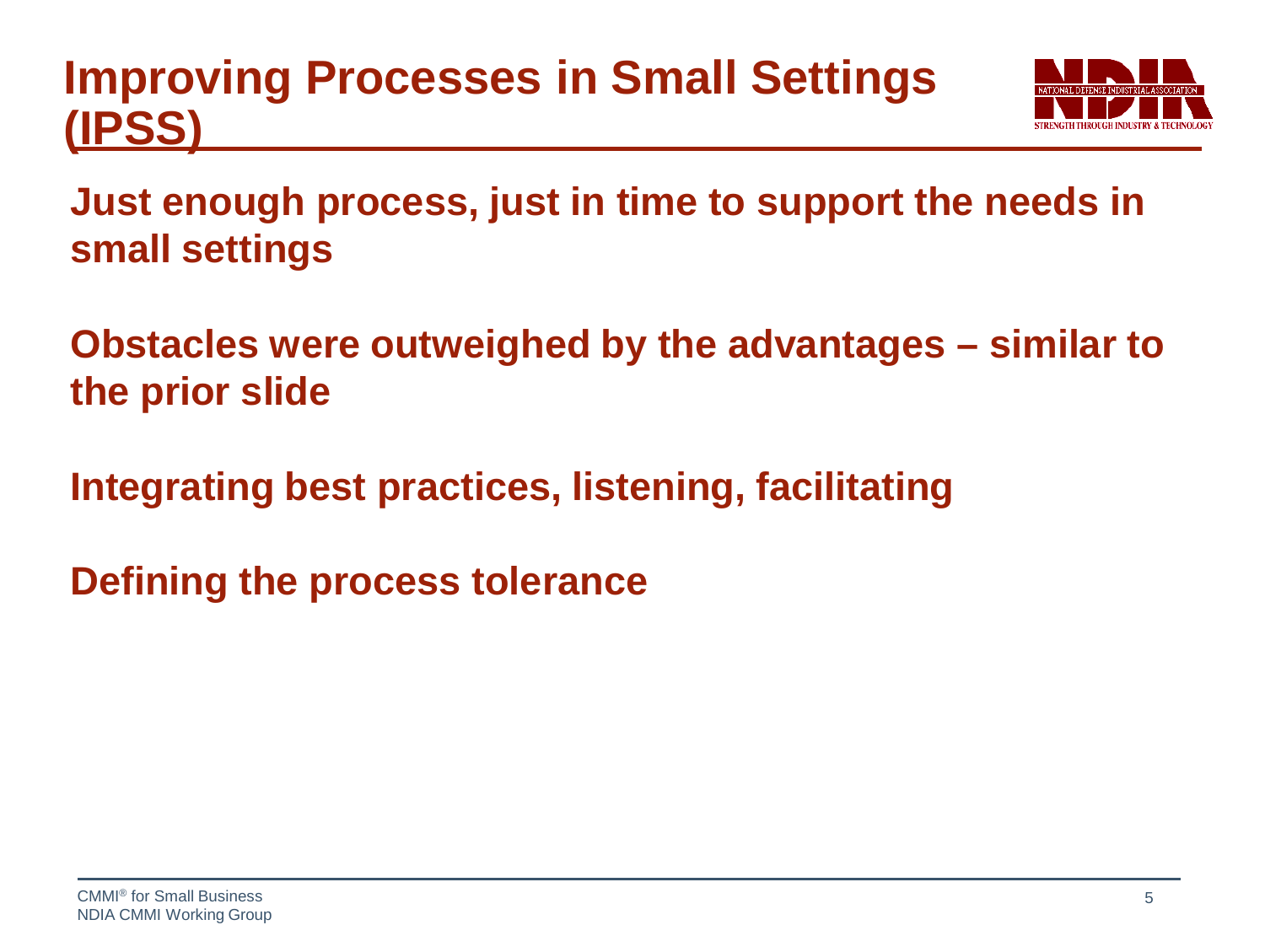### **Improving Processes in Small Settings (IPSS)**



**Just enough process, just in time to support the needs in small settings**

**Obstacles were outweighed by the advantages – similar to the prior slide**

**Integrating best practices, listening, facilitating**

**Defining the process tolerance**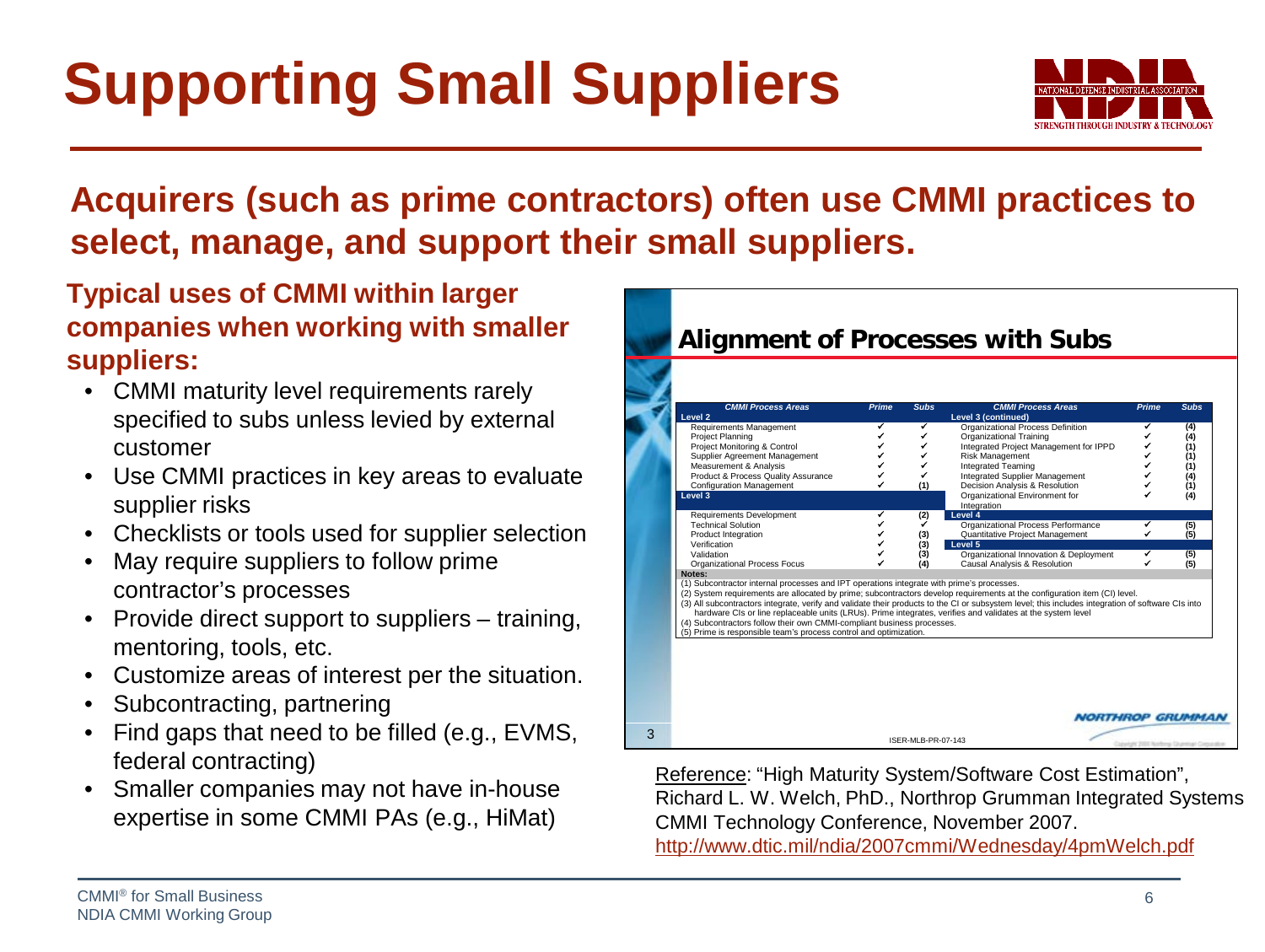## **Supporting Small Suppliers**



#### **Acquirers (such as prime contractors) often use CMMI practices to select, manage, and support their small suppliers.**

#### **Typical uses of CMMI within larger companies when working with smaller suppliers:**

- CMMI maturity level requirements rarely specified to subs unless levied by external customer
- Use CMMI practices in key areas to evaluate supplier risks
- Checklists or tools used for supplier selection
- May require suppliers to follow prime contractor's processes
- Provide direct support to suppliers training, mentoring, tools, etc.
- Customize areas of interest per the situation.
- Subcontracting, partnering
- Find gaps that need to be filled (e.g., EVMS, federal contracting)
- Smaller companies may not have in-house expertise in some CMMI PAs (e.g., HiMat)



Reference: "High Maturity System/Software Cost Estimation", Richard L. W. Welch, PhD., Northrop Grumman Integrated Systems CMMI Technology Conference, November 2007.

<http://www.dtic.mil/ndia/2007cmmi/Wednesday/4pmWelch.pdf>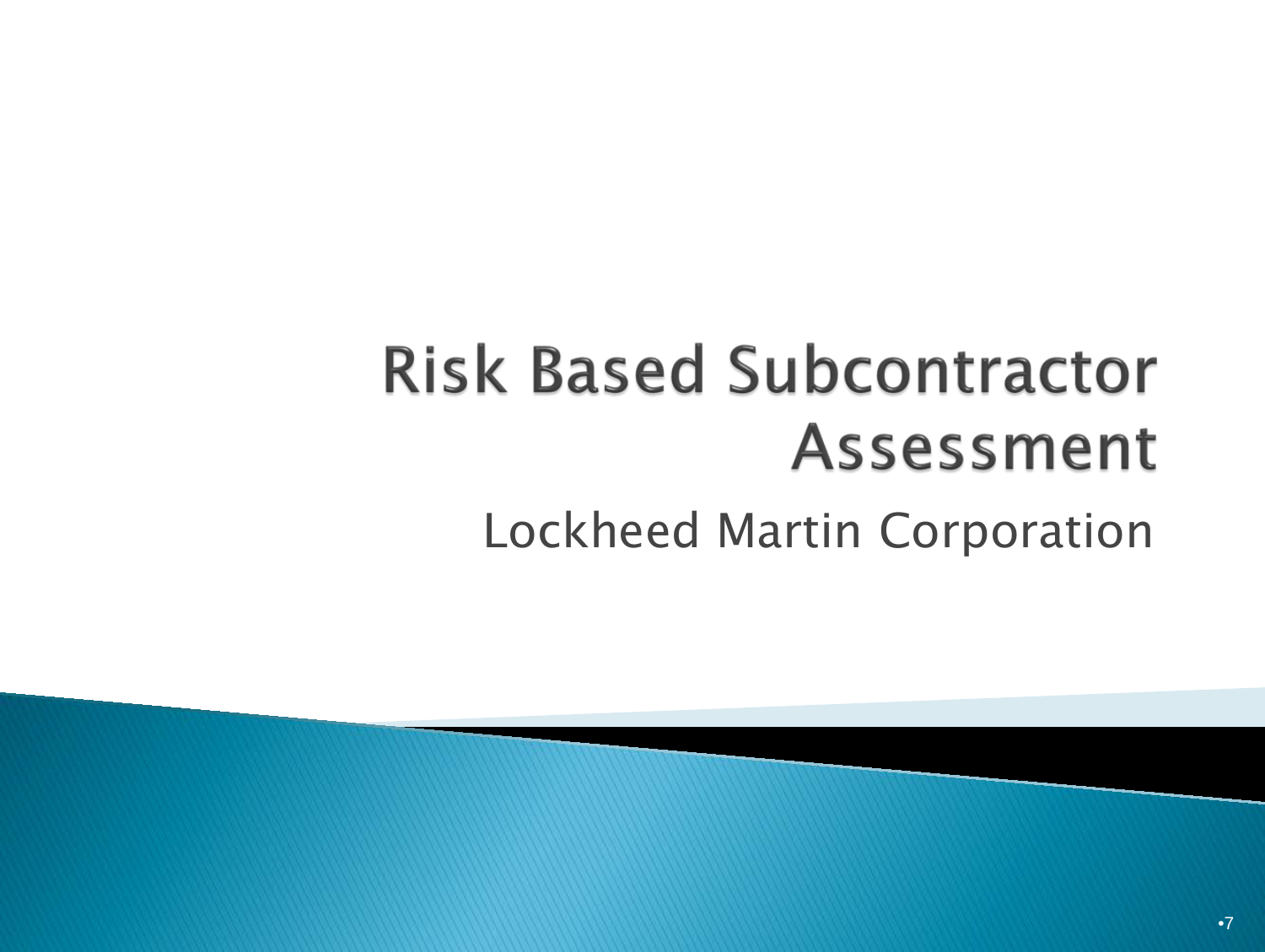## **Risk Based Subcontractor Assessment** Lockheed Martin Corporation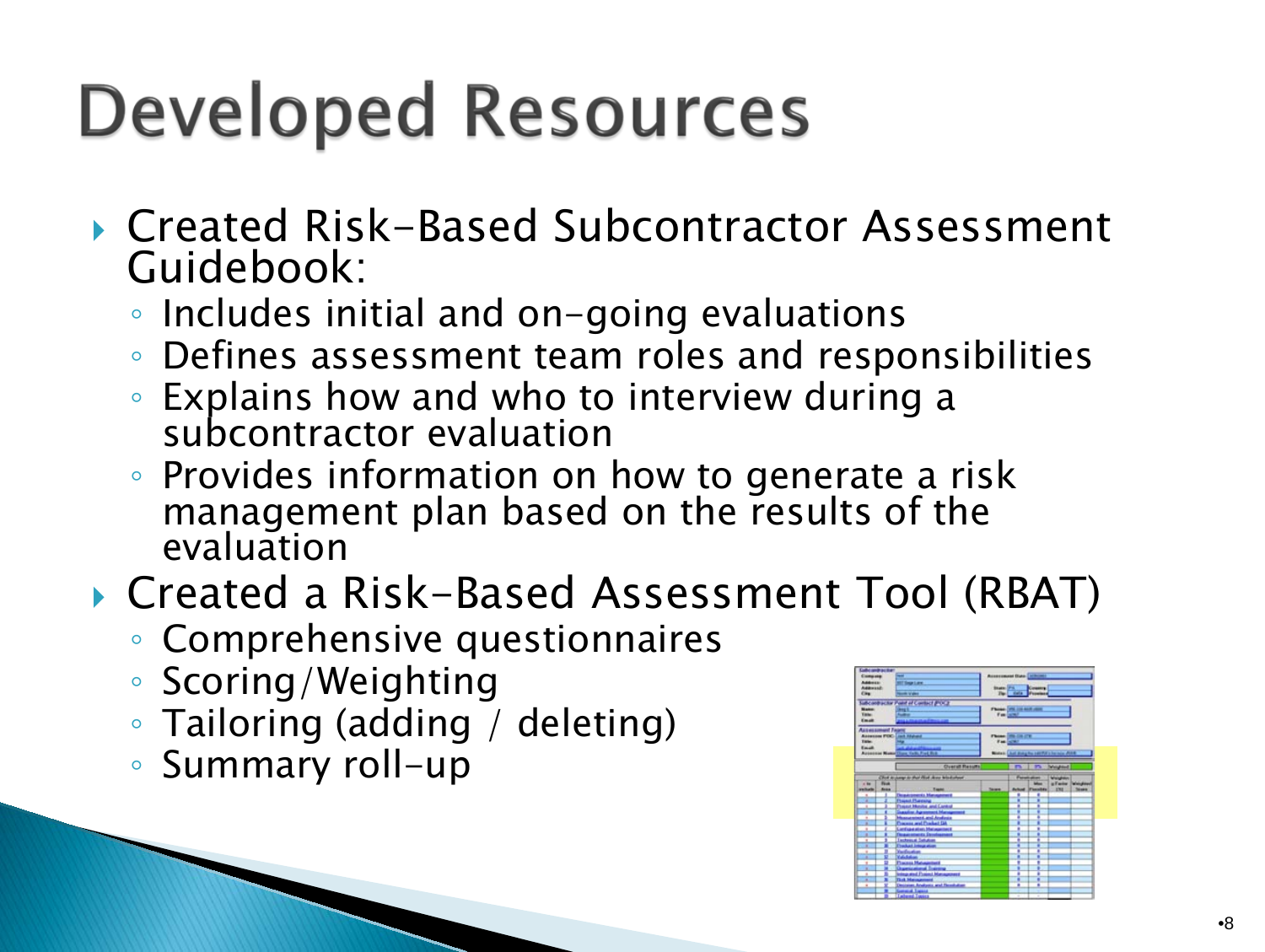# **Developed Resources**

- ▶ Created Risk-Based Subcontractor Assessment Guidebook:
	- Includes initial and on-going evaluations
	- Defines assessment team roles and responsibilities
	- Explains how and who to interview during a subcontractor evaluation
	- Provides information on how to generate a risk management plan based on the results of the evaluation
- ▶ Created a Risk-Based Assessment Tool (RBAT)
	- Comprehensive questionnaires
	- Scoring/Weighting
	- Tailoring (adding / deleting)
	- Summary roll-up

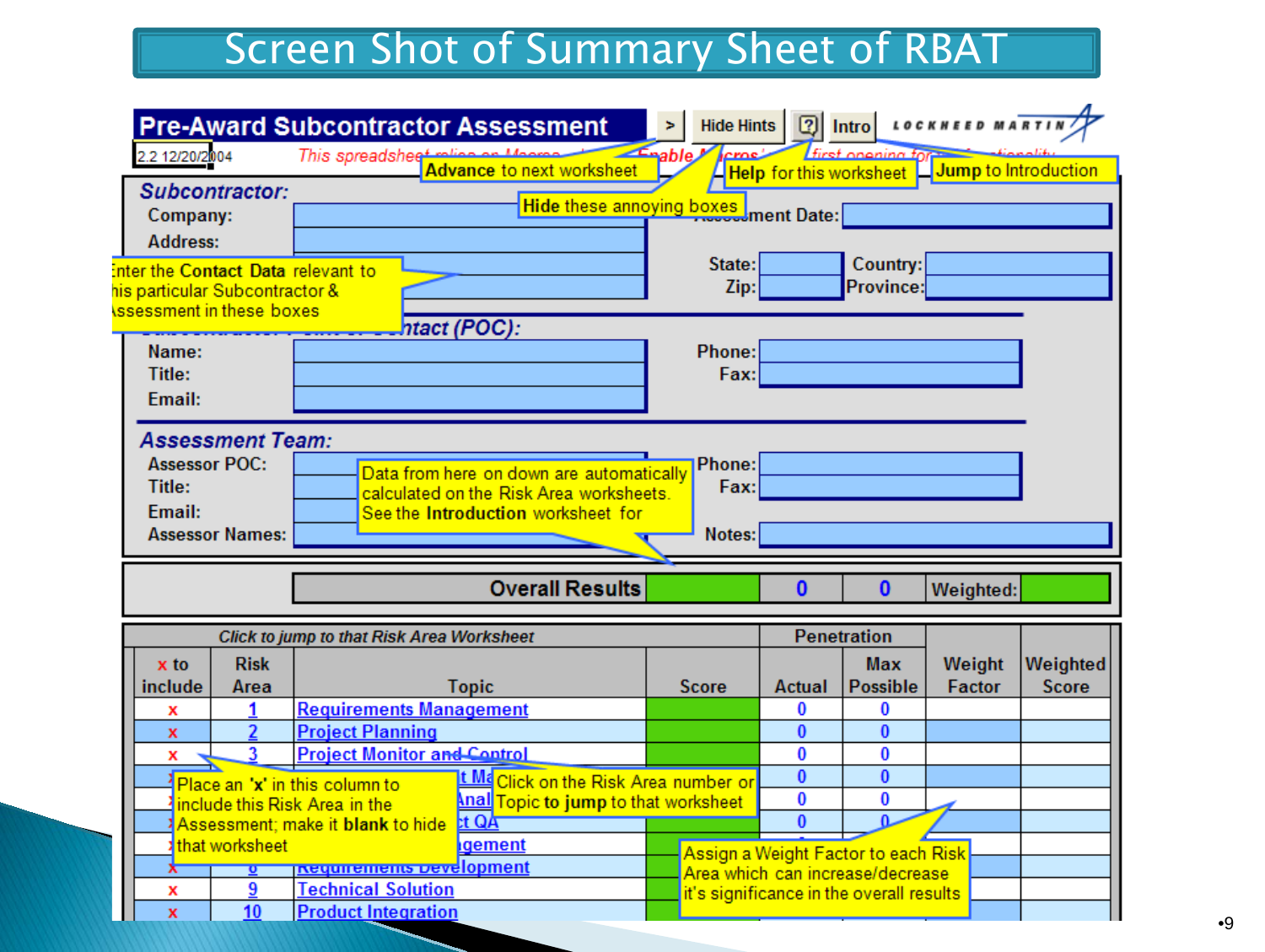#### Screen Shot of Summary Sheet of RBAT

| 2.2 12/20/2004                                    |                         | <b>Pre-Award Subcontractor Assessment</b>               |                                                          | Hide Hints<br>Enable M |          | First onening for                        | <b>2</b> Intro LOCKHEED MARTI                  |              |
|---------------------------------------------------|-------------------------|---------------------------------------------------------|----------------------------------------------------------|------------------------|----------|------------------------------------------|------------------------------------------------|--------------|
|                                                   |                         | This spreadshee <sup>+</sup>                            | <b>Advance to next worksheet</b>                         |                        |          |                                          | Help for this worksheet   Jump to Introduction |              |
|                                                   | Subcontractor:          |                                                         |                                                          |                        |          |                                          |                                                |              |
| Company:                                          |                         |                                                         | Hide these annoying boxes ment Date:                     |                        |          |                                          |                                                |              |
| <b>Address:</b>                                   |                         |                                                         |                                                          |                        |          |                                          |                                                |              |
|                                                   |                         | <b>Enter the Contact Data relevant to</b>               |                                                          | State:                 |          | Country:                                 |                                                |              |
| his particular Subcontractor &                    |                         |                                                         |                                                          | Zip:                   |          | Province:                                |                                                |              |
| <b><u>\ssessment in these boxes</u></b>           |                         |                                                         |                                                          |                        |          |                                          |                                                |              |
|                                                   |                         |                                                         | ntact (POC):                                             |                        |          |                                          |                                                |              |
| Name:                                             |                         |                                                         |                                                          | Phone:                 |          |                                          |                                                |              |
| Title:                                            |                         |                                                         |                                                          | Fax:                   |          |                                          |                                                |              |
| Email:                                            |                         |                                                         |                                                          |                        |          |                                          |                                                |              |
|                                                   |                         |                                                         |                                                          |                        |          |                                          |                                                |              |
|                                                   | <b>Assessment Team:</b> |                                                         |                                                          |                        |          |                                          |                                                |              |
| <b>Assessor POC:</b>                              |                         |                                                         | Data from here on down are automatically                 | Phone:<br>Fax:         |          |                                          |                                                |              |
| Title:<br>calculated on the Risk Area worksheets. |                         |                                                         |                                                          |                        |          |                                          |                                                |              |
|                                                   |                         |                                                         |                                                          |                        |          |                                          |                                                |              |
| Email:                                            |                         |                                                         | See the Introduction worksheet for                       |                        |          |                                          |                                                |              |
|                                                   | <b>Assessor Names:</b>  |                                                         |                                                          | Notes:                 |          |                                          |                                                |              |
|                                                   |                         |                                                         | <b>Overall Results</b>                                   |                        | $\Omega$ | $\mathbf{0}$                             | Weighted:                                      |              |
|                                                   |                         |                                                         |                                                          |                        |          |                                          |                                                |              |
|                                                   |                         | Click to jump to that Risk Area Worksheet               |                                                          |                        |          | <b>Penetration</b>                       |                                                |              |
| x to                                              | <b>Risk</b>             |                                                         |                                                          |                        |          | <b>Max</b>                               | Weight                                         | Weighted     |
| include                                           | Area                    |                                                         | <b>Topic</b>                                             | <b>Score</b>           | Actual   | <b>Possible</b>                          | Factor                                         | <b>Score</b> |
| x                                                 |                         | <b>Requirements Management</b>                          |                                                          |                        | 0        | 0                                        |                                                |              |
| x                                                 | 2                       | <b>Project Planning</b>                                 |                                                          |                        | $\bf{0}$ | $\bf{0}$                                 |                                                |              |
| x                                                 | 3                       | <b>Project Monitor and Control</b>                      |                                                          |                        | 0        | 0                                        |                                                |              |
|                                                   |                         | Place an 'x' in this column to                          | <u>t Ma<mark>click on the Risk Area number or</mark></u> |                        | $\bf{0}$ | $\bf{0}$                                 |                                                |              |
|                                                   |                         | include this Risk Area in the                           | <u> Anall Topic to jump to that worksheet</u>            |                        | 0        | 0                                        |                                                |              |
|                                                   |                         | Assessment; make it blank to hide                       | tt QA                                                    |                        | $\Omega$ |                                          |                                                |              |
|                                                   | that worksheet          |                                                         | <b>gement</b>                                            |                        |          | Assign a Weight Factor to each Risk      |                                                |              |
|                                                   |                         | <b>Requirements Development</b>                         |                                                          |                        |          | Area which can increase/decrease         |                                                |              |
|                                                   |                         |                                                         |                                                          |                        |          |                                          |                                                |              |
| x                                                 | 9<br>10                 | <b>Technical Solution</b><br><b>Product Integration</b> |                                                          |                        |          | it's significance in the overall results |                                                |              |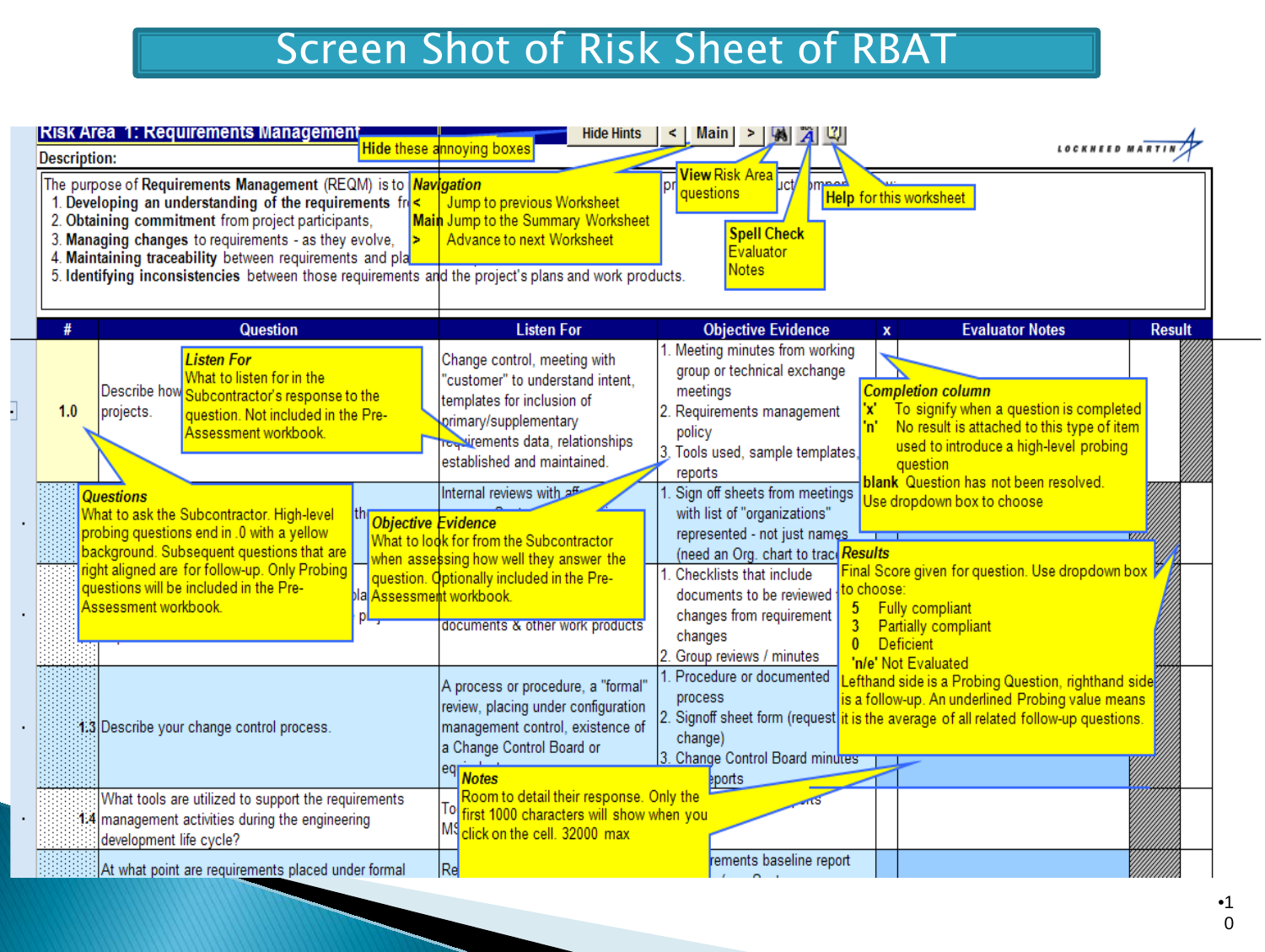#### Screen Shot of Risk Sheet of RBAT

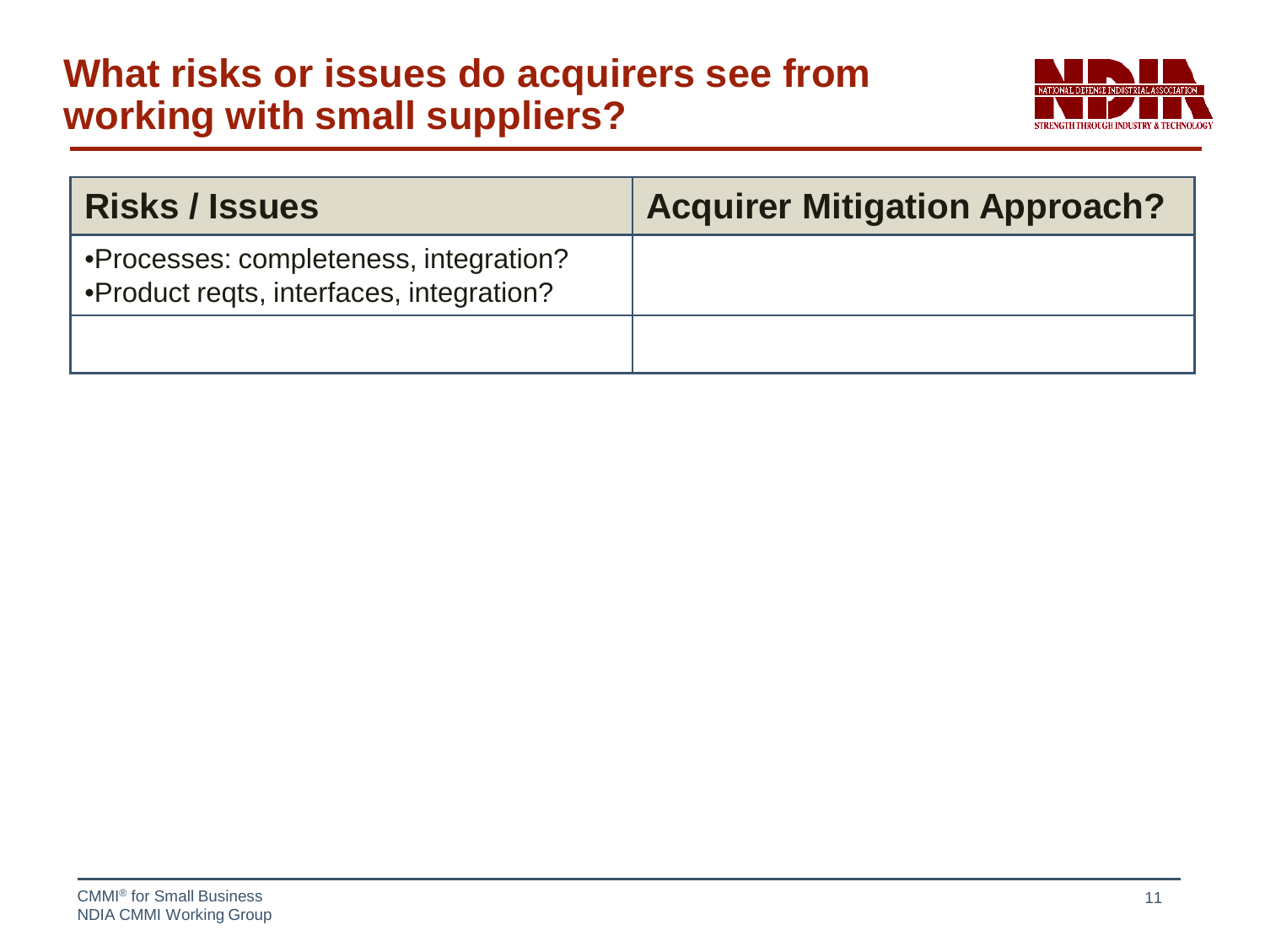#### **What risks or issues do acquirers see from working with small suppliers?**



| <b>Risks / Issues</b>                                                              | <b>Acquirer Mitigation Approach?</b> |
|------------------------------------------------------------------------------------|--------------------------------------|
| •Processes: completeness, integration?<br>•Product reqts, interfaces, integration? |                                      |
|                                                                                    |                                      |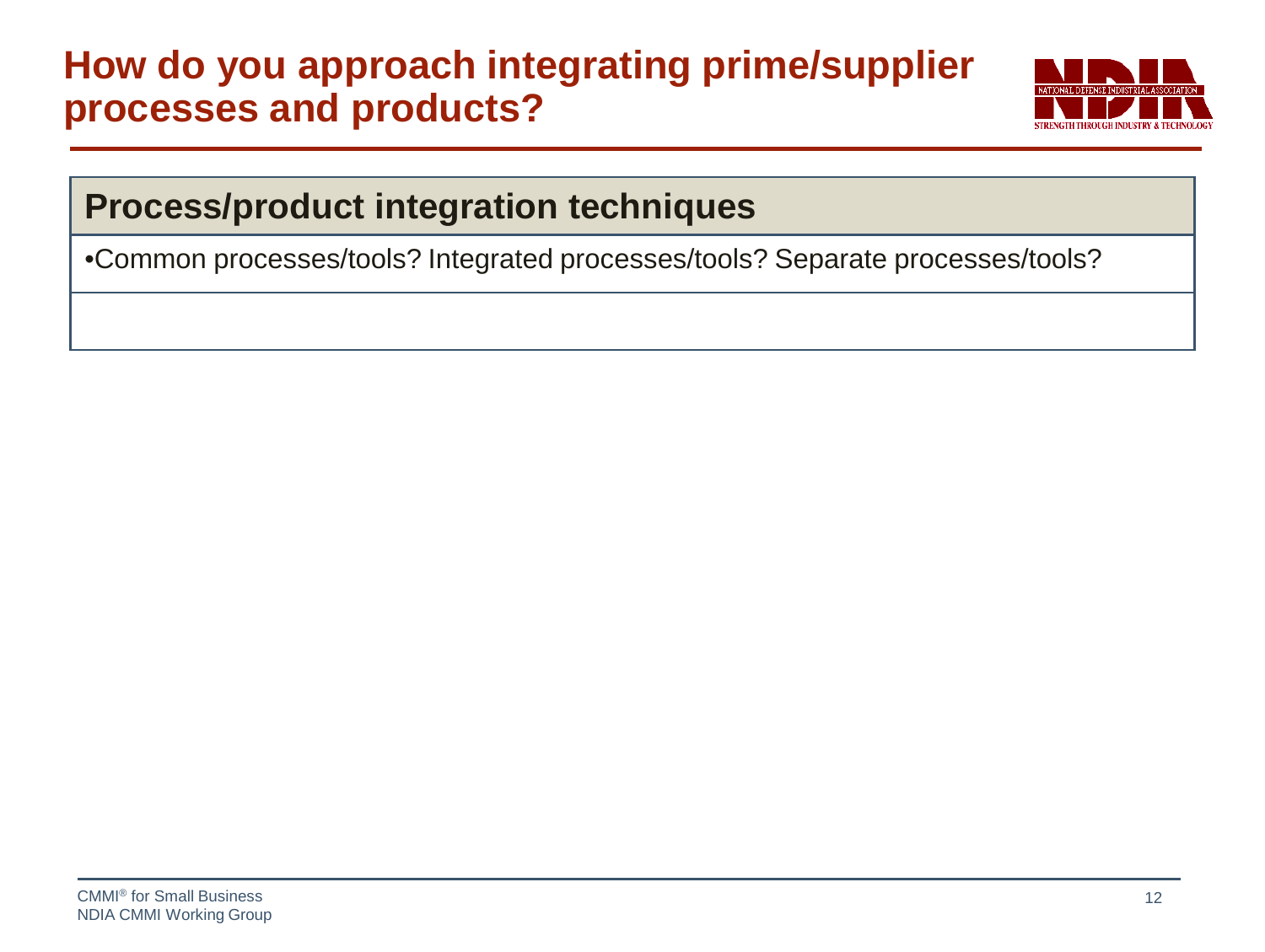#### **How do you approach integrating prime/supplier processes and products?**



#### **Process/product integration techniques**

•Common processes/tools? Integrated processes/tools? Separate processes/tools?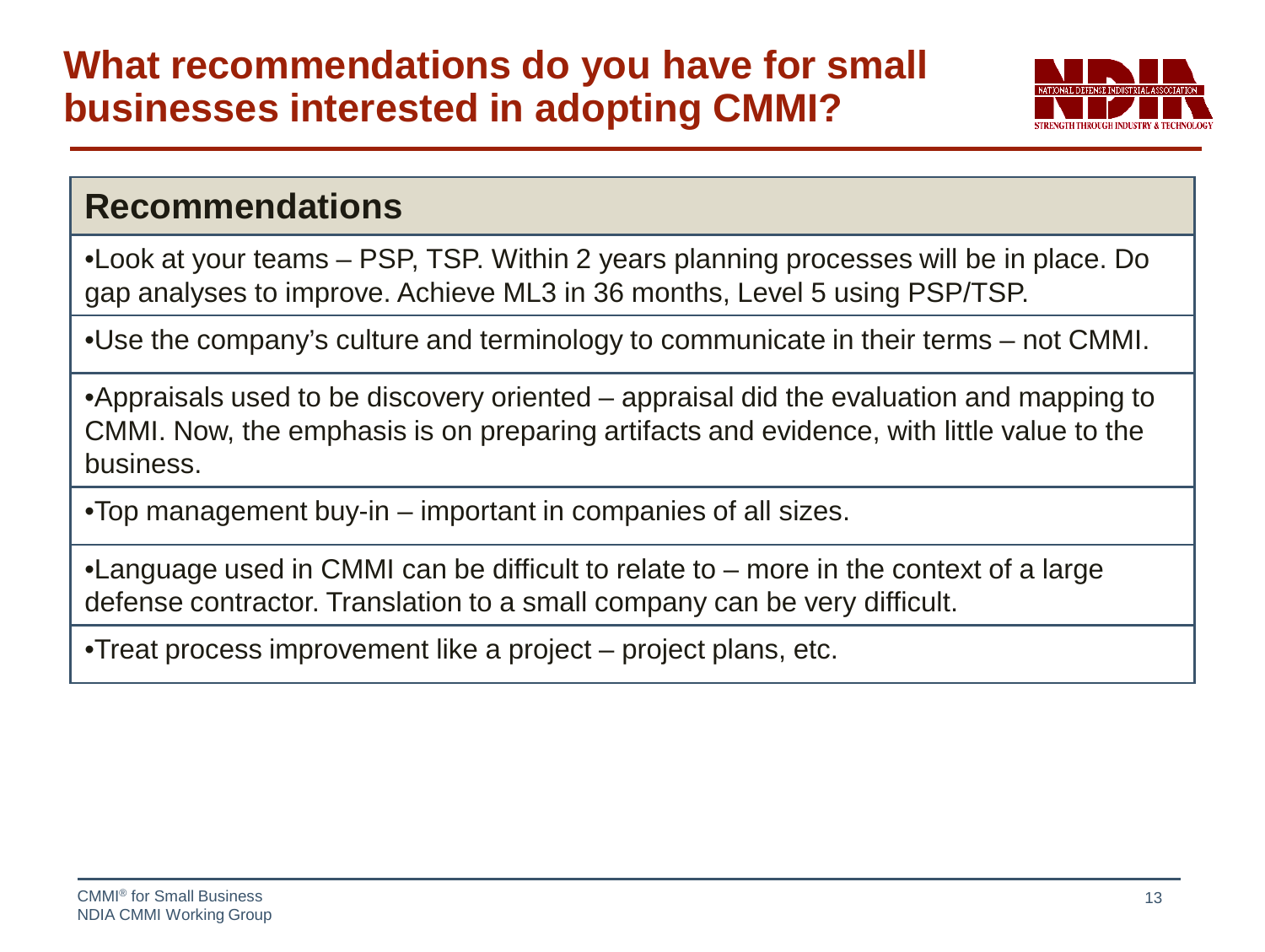

#### **Recommendations**

•Look at your teams – PSP, TSP. Within 2 years planning processes will be in place. Do gap analyses to improve. Achieve ML3 in 36 months, Level 5 using PSP/TSP.

•Use the company's culture and terminology to communicate in their terms – not CMMI.

•Appraisals used to be discovery oriented – appraisal did the evaluation and mapping to CMMI. Now, the emphasis is on preparing artifacts and evidence, with little value to the business.

•Top management buy-in – important in companies of all sizes.

•Language used in CMMI can be difficult to relate to – more in the context of a large defense contractor. Translation to a small company can be very difficult.

•Treat process improvement like a project – project plans, etc.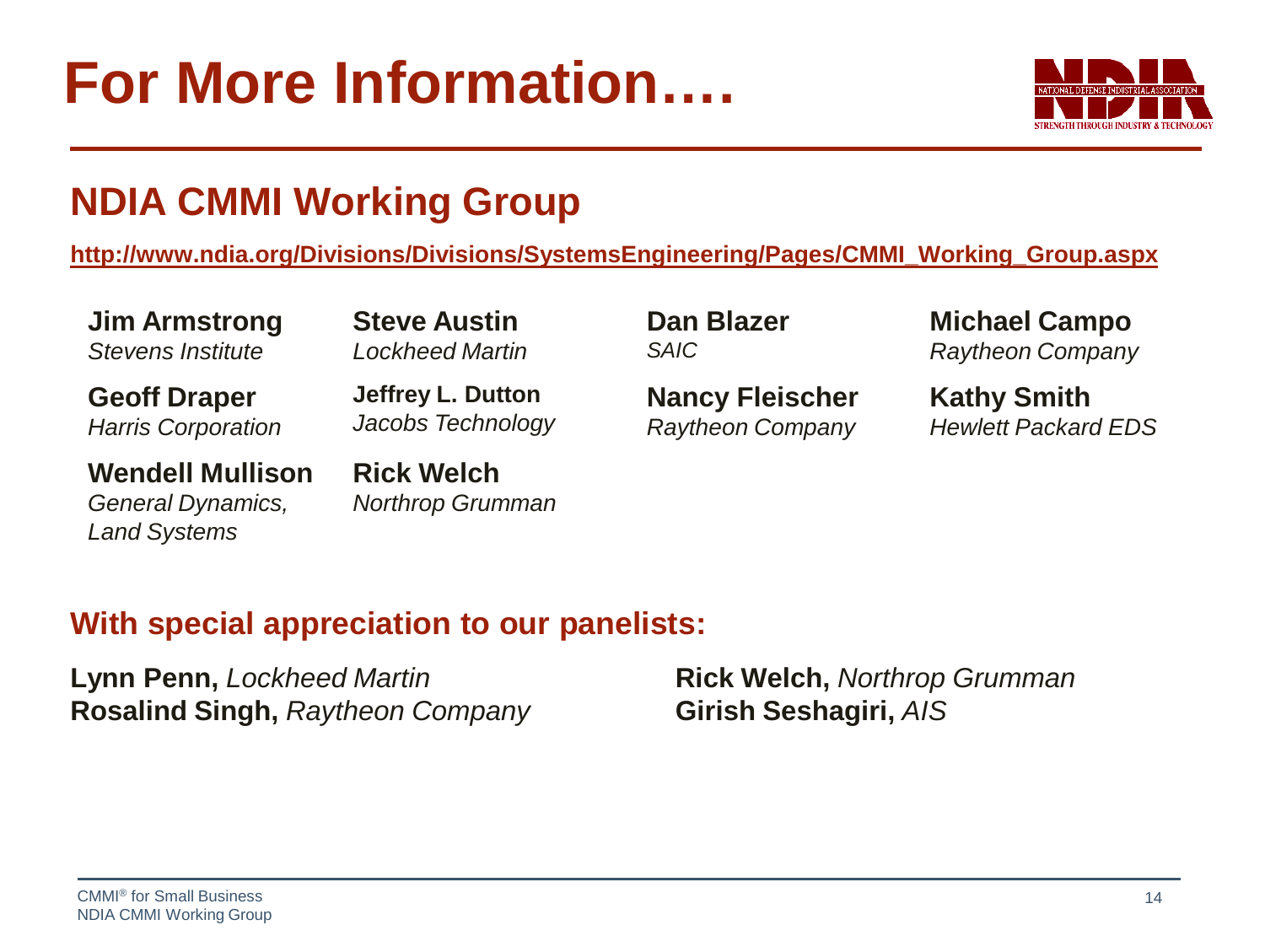### **For More Information….**



#### **NDIA CMMI Working Group**

**[http://www.ndia.org/Divisions/Divisions/SystemsEngineering/Pages/CMMI\\_Working\\_Group.aspx](http://www.ndia.org/Divisions/Divisions/SystemsEngineering/Pages/CMMI_Working_Group.aspx)**

**Jim Armstrong** *Stevens Institute*

**Steve Austin** *Lockheed Martin*

**Geoff Draper** *Harris Corporation* **Jeffrey L. Dutton** *Jacobs Technology*

**Wendell Mullison** *General Dynamics, Land Systems*

**Rick Welch** *Northrop Grumman* **Dan Blazer** *SAIC*

**Nancy Fleischer** *Raytheon Company* **Michael Campo** *Raytheon Company*

**Kathy Smith** *Hewlett Packard EDS*

#### **With special appreciation to our panelists:**

**Lynn Penn,** *Lockheed Martin* **Rick Welch,** *Northrop Grumman* **Rosalind Singh,** *Raytheon Company* **Girish Seshagiri,** *AIS*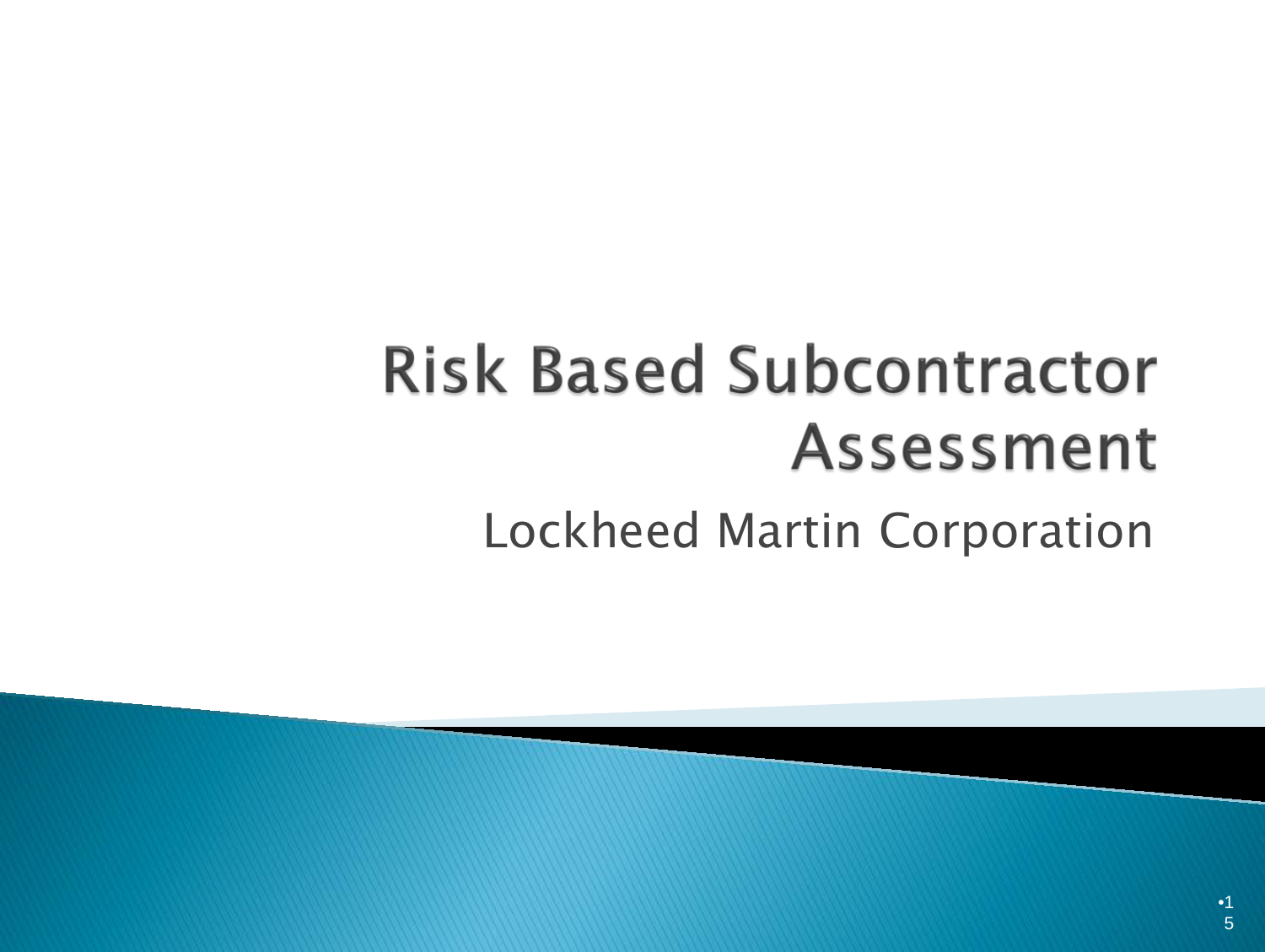## **Risk Based Subcontractor Assessment** Lockheed Martin Corporation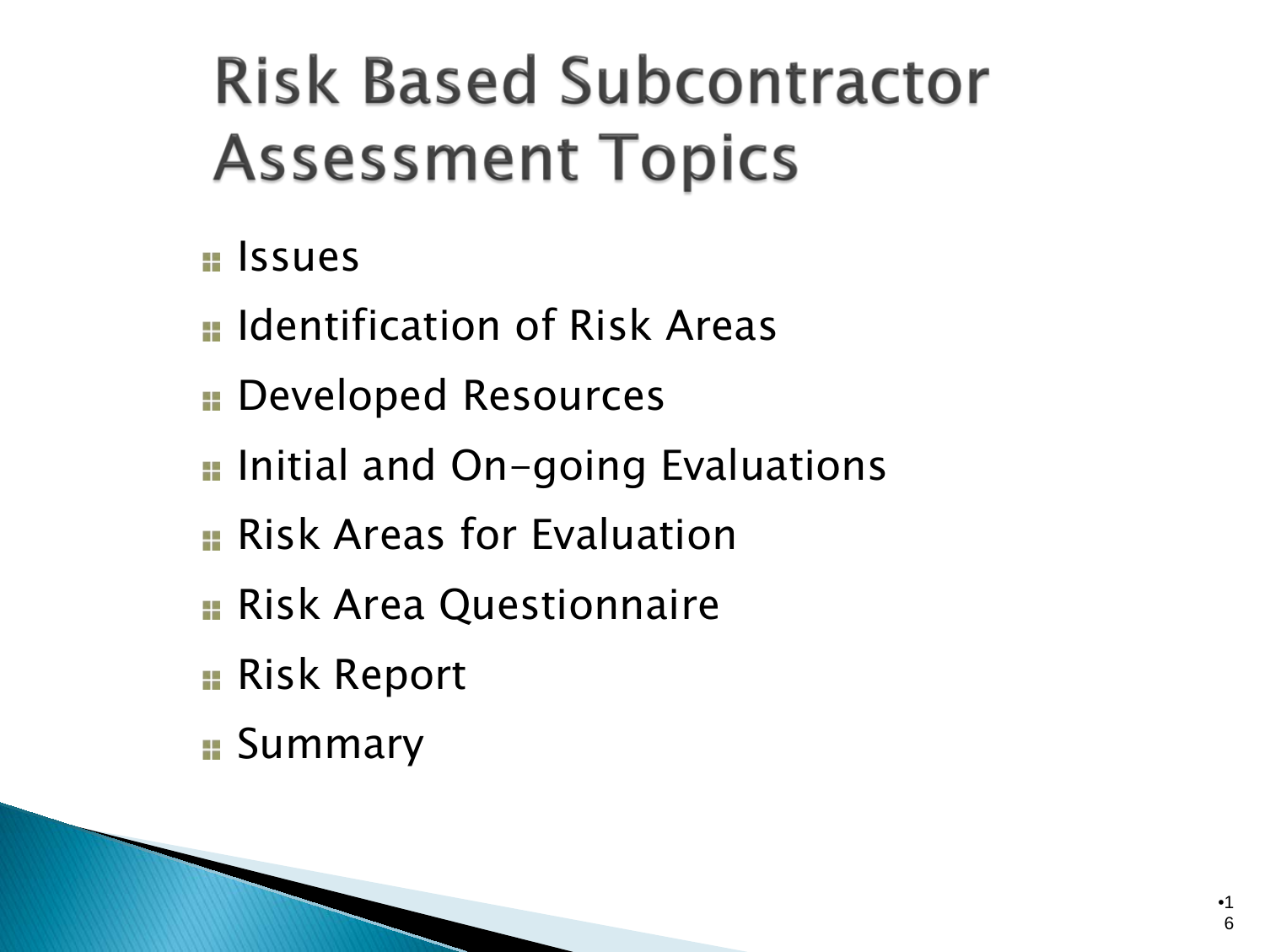## **Risk Based Subcontractor Assessment Topics**

### $\blacksquare$  Issues

- **u** Identification of Risk Areas
- **BEDEVELOPED Resources**
- **I** Initial and On-going Evaluations
- **E** Risk Areas for Evaluation
- **Risk Area Questionnaire**
- **Risk Report**
- **E** Summary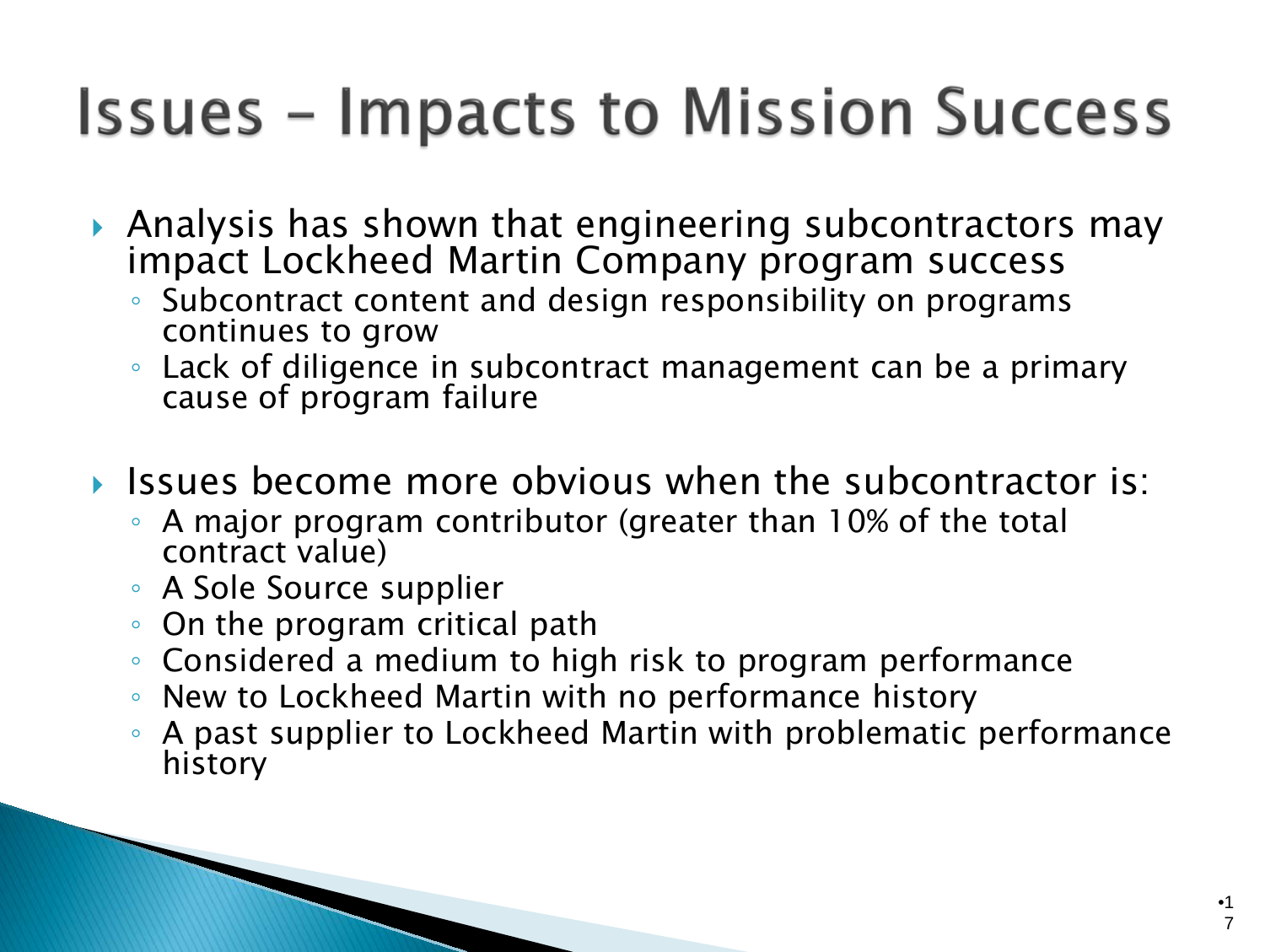## **Issues - Impacts to Mission Success**

- Analysis has shown that engineering subcontractors may impact Lockheed Martin Company program success
	- Subcontract content and design responsibility on programs continues to grow
	- Lack of diligence in subcontract management can be a primary cause of program failure
- If Issues become more obvious when the subcontractor is:
	- A major program contributor (greater than 10% of the total contract value)
	- A Sole Source supplier
	- On the program critical path
	- Considered a medium to high risk to program performance
	- New to Lockheed Martin with no performance history
	- A past supplier to Lockheed Martin with problematic performance history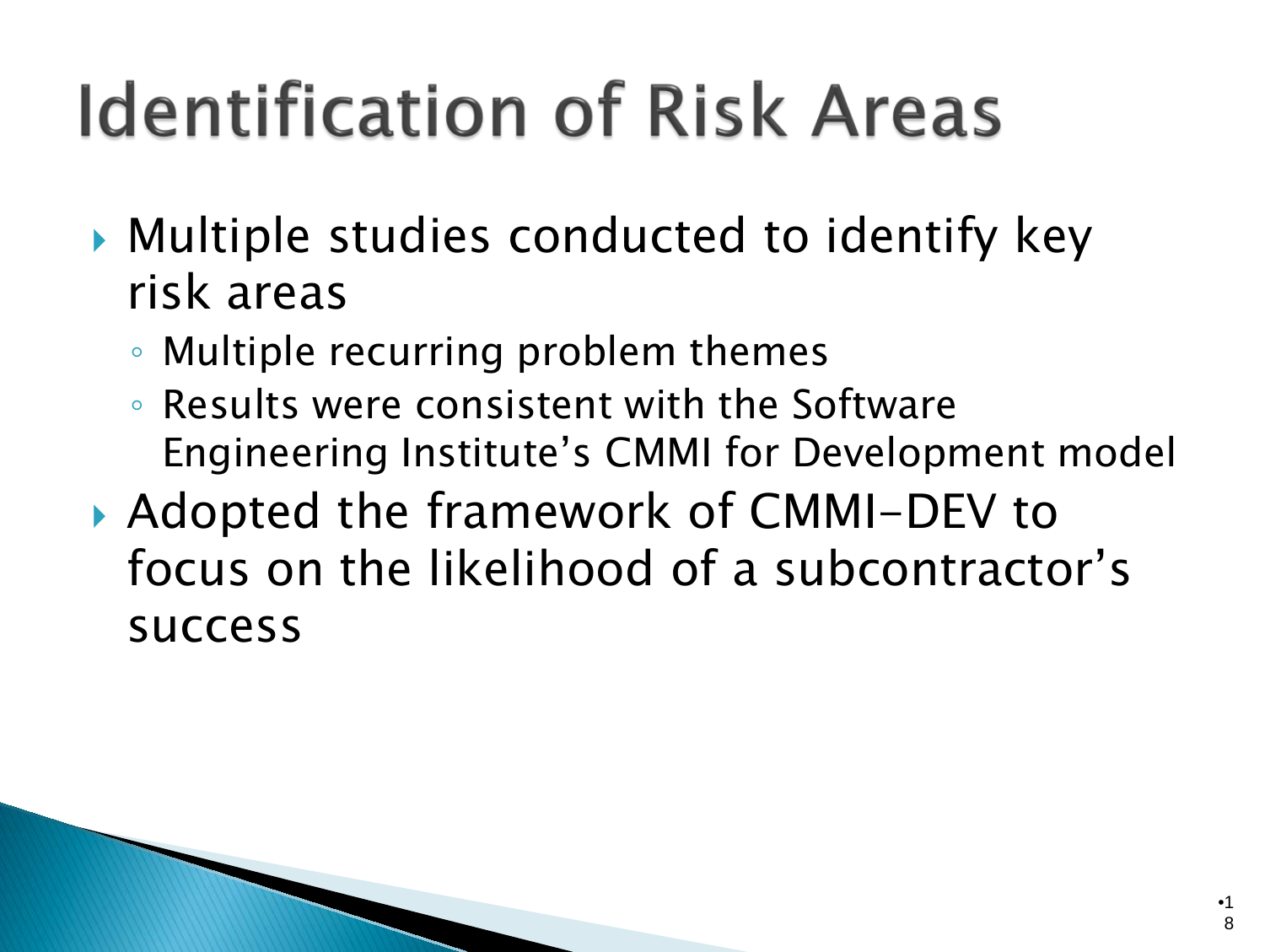# **Identification of Risk Areas**

- Multiple studies conducted to identify key risk areas
	- Multiple recurring problem themes
	- Results were consistent with the Software Engineering Institute's CMMI for Development model
- ▶ Adopted the framework of CMMI-DEV to focus on the likelihood of a subcontractor's success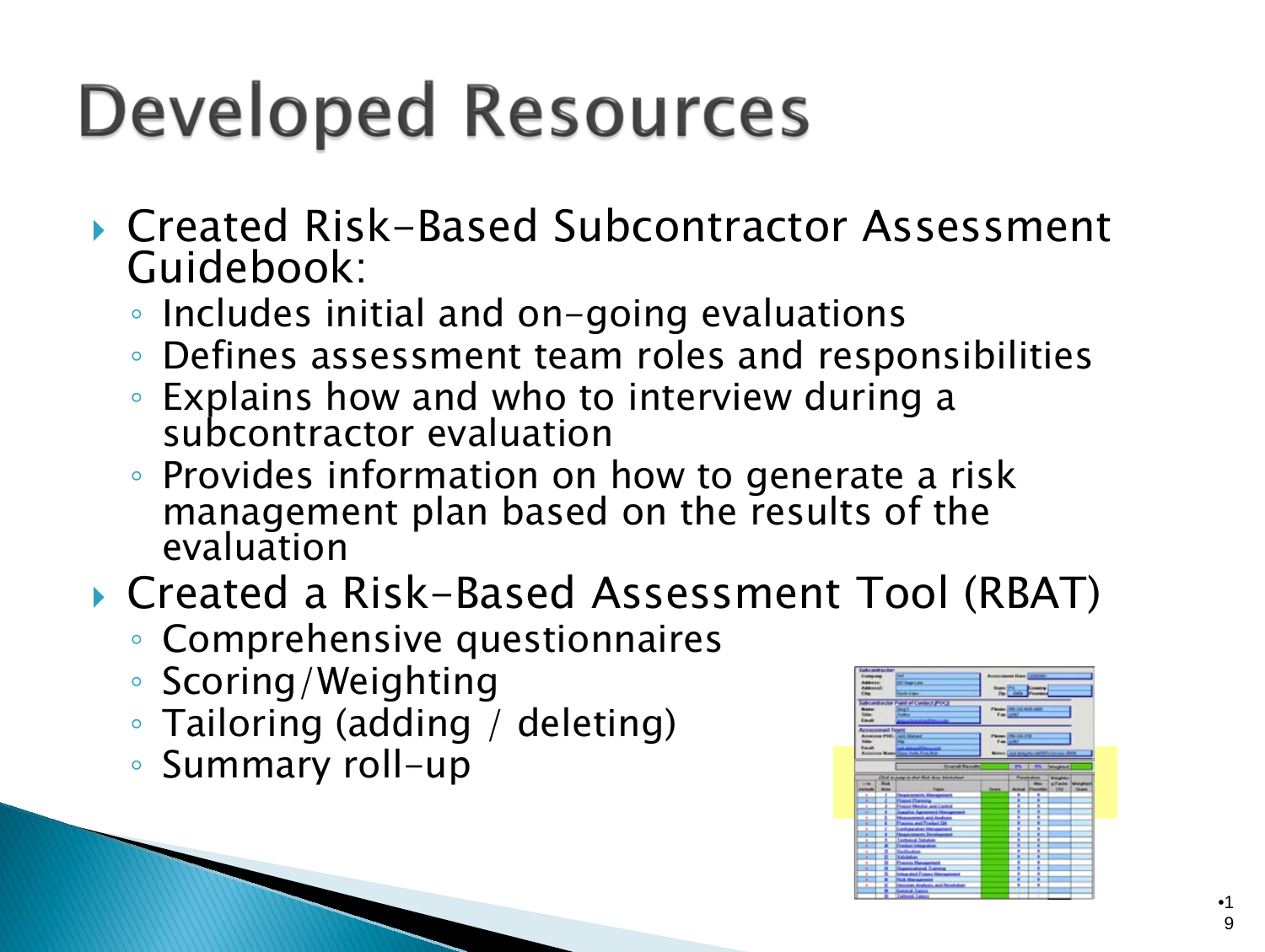# **Developed Resources**

- ▶ Created Risk-Based Subcontractor Assessment Guidebook:
	- Includes initial and on-going evaluations
	- Defines assessment team roles and responsibilities
	- Explains how and who to interview during a subcontractor evaluation
	- Provides information on how to generate a risk management plan based on the results of the evaluation
- ▶ Created a Risk-Based Assessment Tool (RBAT)
	- Comprehensive questionnaires
	- Scoring/Weighting
	- Tailoring (adding / deleting)
	- Summary roll-up

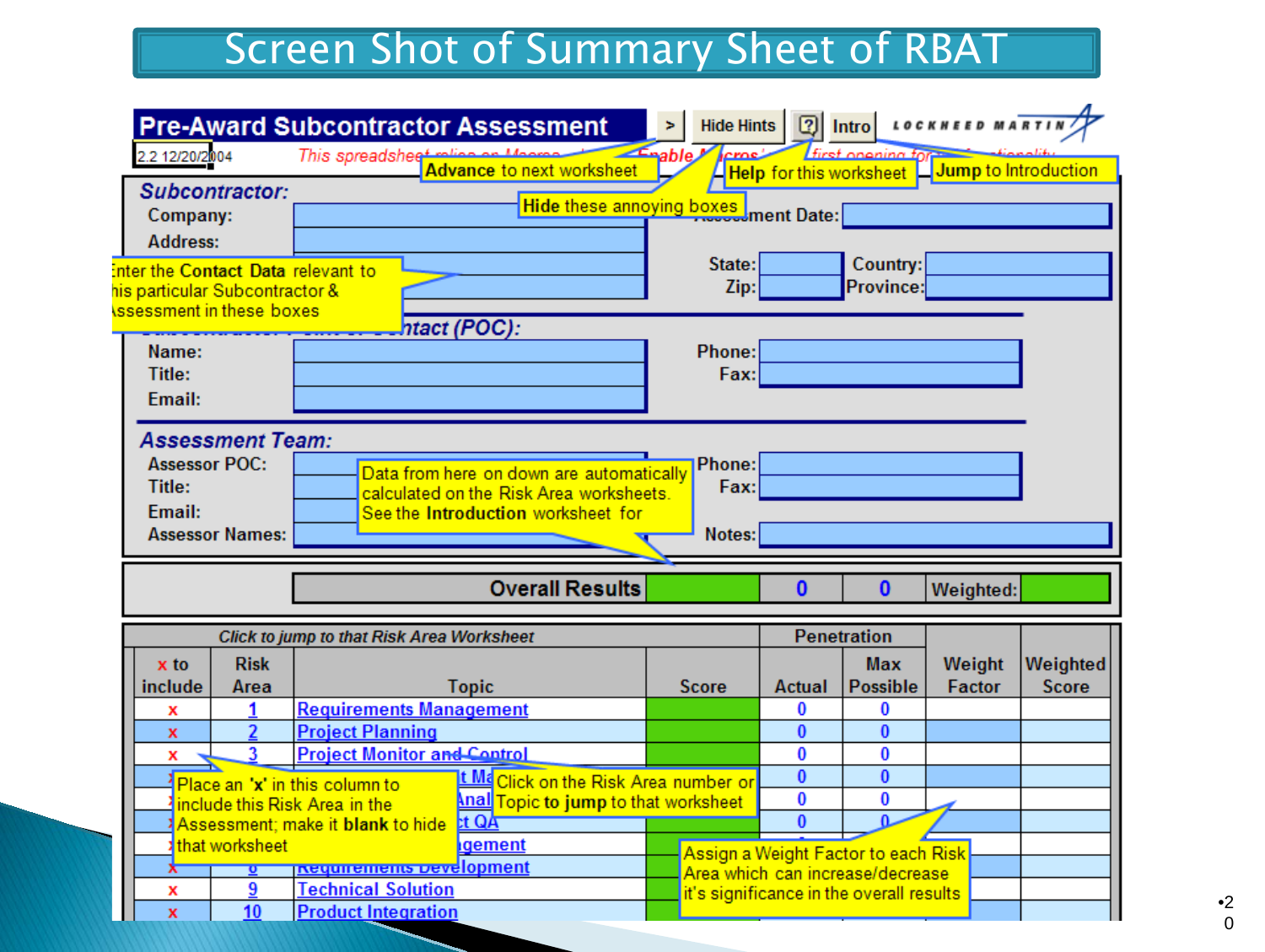#### Screen Shot of Summary Sheet of RBAT

| 2.2 12/20/2004                                                             |                         | <b>Pre-Award Subcontractor Assessment</b><br>This spreadsheet   |                                              | <b>Hide Hints</b><br>Enable M |              | <b>first onening to</b>                                                 | <b>2</b> Intro LOCKHEED MARTI                |                          |
|----------------------------------------------------------------------------|-------------------------|-----------------------------------------------------------------|----------------------------------------------|-------------------------------|--------------|-------------------------------------------------------------------------|----------------------------------------------|--------------------------|
|                                                                            |                         |                                                                 | <b>Advance to next worksheet</b>             |                               |              |                                                                         | Help for this worksheet Lump to Introduction |                          |
|                                                                            | Subcontractor:          |                                                                 |                                              |                               |              |                                                                         |                                              |                          |
| Company:                                                                   |                         |                                                                 | Hide these annoying boxes ment Date:         |                               |              |                                                                         |                                              |                          |
| <b>Address:</b>                                                            |                         |                                                                 |                                              |                               |              |                                                                         |                                              |                          |
|                                                                            |                         | Enter the Contact Data relevant to                              |                                              | State:                        |              | Country:                                                                |                                              |                          |
| his particular Subcontractor &                                             |                         |                                                                 |                                              | Zip:                          |              | Province:                                                               |                                              |                          |
| ssessment in these boxes                                                   |                         |                                                                 |                                              |                               |              |                                                                         |                                              |                          |
|                                                                            |                         |                                                                 | ntact (POC):                                 |                               |              |                                                                         |                                              |                          |
| Name:                                                                      |                         |                                                                 |                                              | Phone:                        |              |                                                                         |                                              |                          |
| Title:                                                                     |                         |                                                                 |                                              | Fax:                          |              |                                                                         |                                              |                          |
| Email:                                                                     |                         |                                                                 |                                              |                               |              |                                                                         |                                              |                          |
|                                                                            |                         |                                                                 |                                              |                               |              |                                                                         |                                              |                          |
|                                                                            | <b>Assessment Team:</b> |                                                                 |                                              |                               |              |                                                                         |                                              |                          |
| <b>Assessor POC:</b><br>Phone:<br>Data from here on down are automatically |                         |                                                                 |                                              |                               |              |                                                                         |                                              |                          |
| Title:                                                                     |                         |                                                                 | calculated on the Risk Area worksheets.      | Fax:                          |              |                                                                         |                                              |                          |
|                                                                            |                         |                                                                 |                                              |                               |              |                                                                         |                                              |                          |
| <b>Fmail:</b>                                                              |                         |                                                                 | See the Introduction worksheet for           |                               |              |                                                                         |                                              |                          |
|                                                                            | <b>Assessor Names:</b>  |                                                                 |                                              | Notes:                        |              |                                                                         |                                              |                          |
|                                                                            |                         |                                                                 |                                              |                               |              |                                                                         |                                              |                          |
|                                                                            |                         |                                                                 | <b>Overall Results</b>                       |                               | $\bf{0}$     | $\bf{0}$                                                                | Weighted:                                    |                          |
|                                                                            |                         | Click to jump to that Risk Area Worksheet                       |                                              |                               |              | <b>Penetration</b>                                                      |                                              |                          |
| x to                                                                       | <b>Risk</b>             |                                                                 |                                              |                               |              | <b>Max</b>                                                              |                                              |                          |
| include                                                                    | Area                    |                                                                 | <b>Topic</b>                                 | <b>Score</b>                  | Actual       | <b>Possible</b>                                                         | Weight<br>Factor                             | Weighted<br><b>Score</b> |
| x                                                                          |                         | <b>Requirements Management</b>                                  |                                              |                               | 0            | O                                                                       |                                              |                          |
| x                                                                          | 2                       | <b>Project Planning</b>                                         |                                              |                               | $\mathbf{0}$ | $\mathbf{0}$                                                            |                                              |                          |
| x                                                                          | 3                       | <b>Project Monitor and Control</b>                              |                                              |                               | 0            | 0                                                                       |                                              |                          |
|                                                                            |                         |                                                                 | <u>t Ma</u> Click on the Risk Area number or |                               | $\bf{0}$     | $\bf{0}$                                                                |                                              |                          |
|                                                                            |                         | Place an 'x' in this column to<br>include this Risk Area in the | <u> Anal</u> Topic to jump to that worksheet |                               | 0            | 0                                                                       |                                              |                          |
|                                                                            |                         | <b>Assessment</b> ; make it blank to hide                       | tt QA                                        |                               | $\Omega$     | $\mathbf{a}$                                                            |                                              |                          |
|                                                                            | that worksheet          |                                                                 | lgement                                      |                               |              |                                                                         |                                              |                          |
|                                                                            |                         | <b>Requirements Development</b>                                 |                                              |                               |              | Assign a Weight Factor to each Risk<br>Area which can increase/decrease |                                              |                          |
| x<br>$\mathbf{x}$                                                          | 9<br>10                 | <b>Technical Solution</b><br><b>Product Integration</b>         |                                              |                               |              | it's significance in the overall results                                |                                              |                          |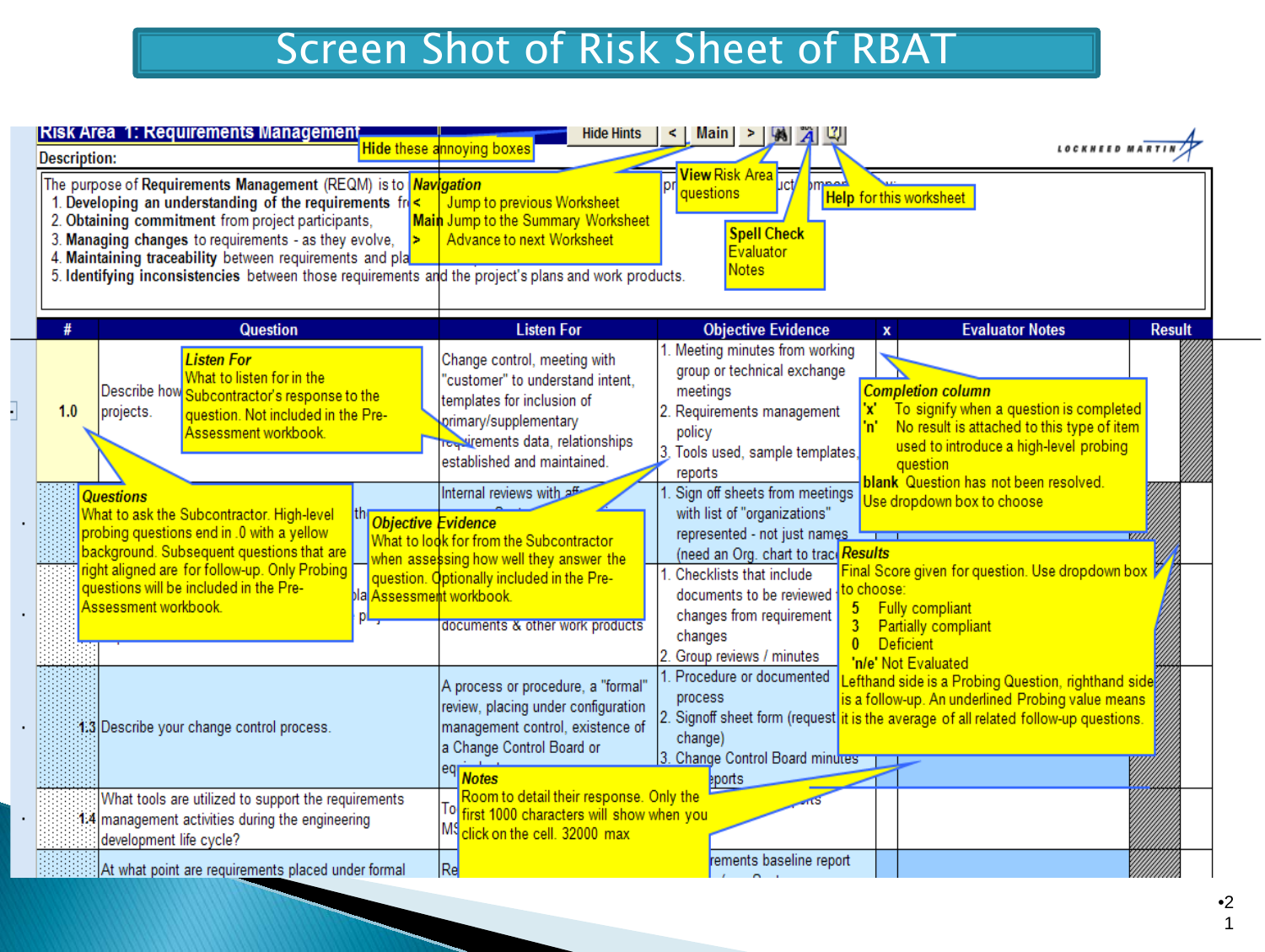#### Screen Shot of Risk Sheet of RBAT

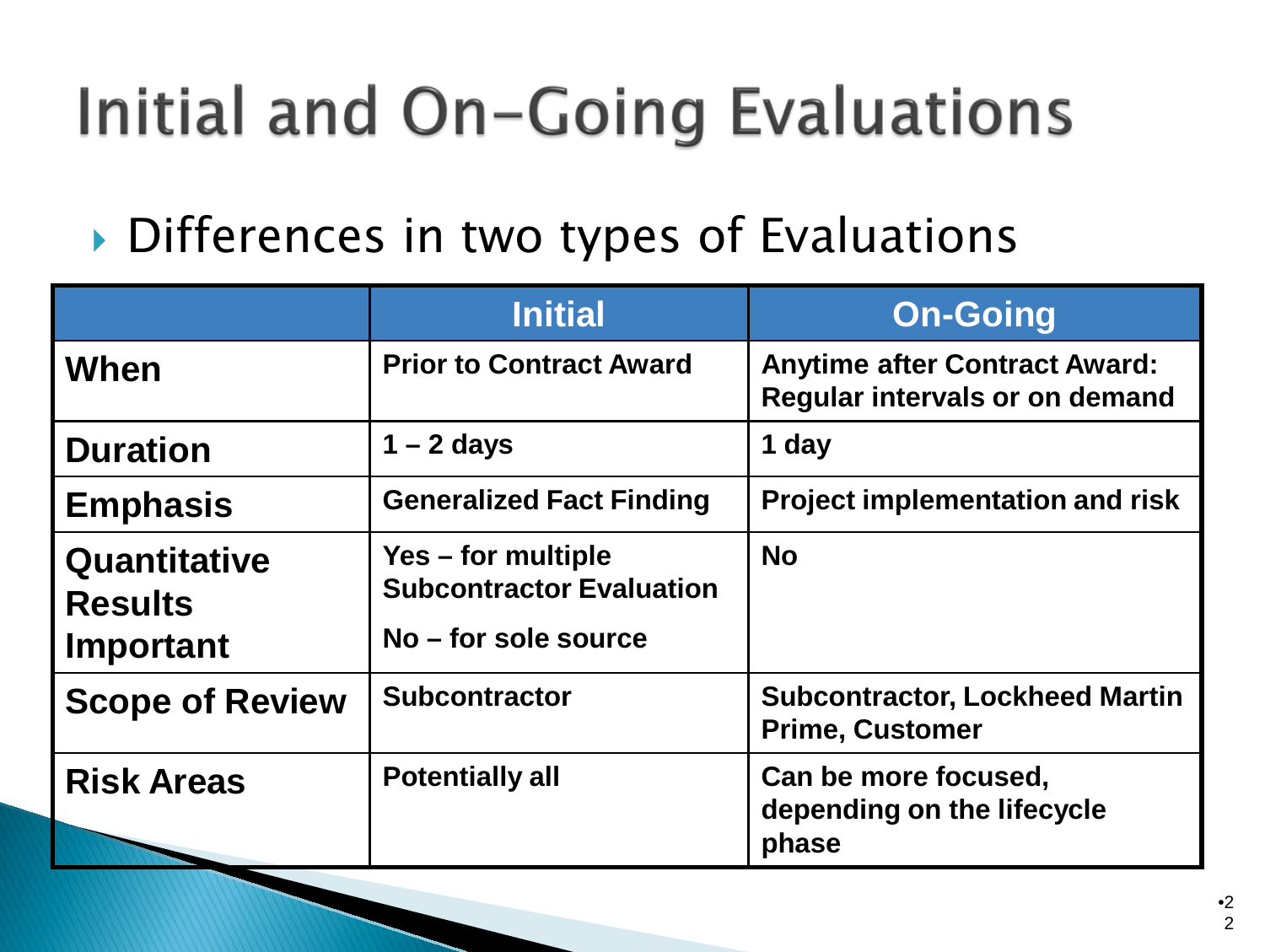## Initial and On-Going Evaluations

Differences in two types of Evaluations

|                                             | <b>Initial</b>                                                                | <b>On-Going</b>                                                        |
|---------------------------------------------|-------------------------------------------------------------------------------|------------------------------------------------------------------------|
| When                                        | <b>Prior to Contract Award</b>                                                | <b>Anytime after Contract Award:</b><br>Regular intervals or on demand |
| <b>Duration</b>                             | $1 - 2$ days                                                                  | 1 day                                                                  |
| <b>Emphasis</b>                             | <b>Generalized Fact Finding</b>                                               | <b>Project implementation and risk</b>                                 |
| Quantitative<br><b>Results</b><br>Important | Yes – for multiple<br><b>Subcontractor Evaluation</b><br>No - for sole source | <b>No</b>                                                              |
| <b>Scope of Review</b>                      | <b>Subcontractor</b>                                                          | <b>Subcontractor, Lockheed Martin</b><br><b>Prime, Customer</b>        |
| <b>Risk Areas</b>                           | <b>Potentially all</b>                                                        | Can be more focused,<br>depending on the lifecycle<br>phase            |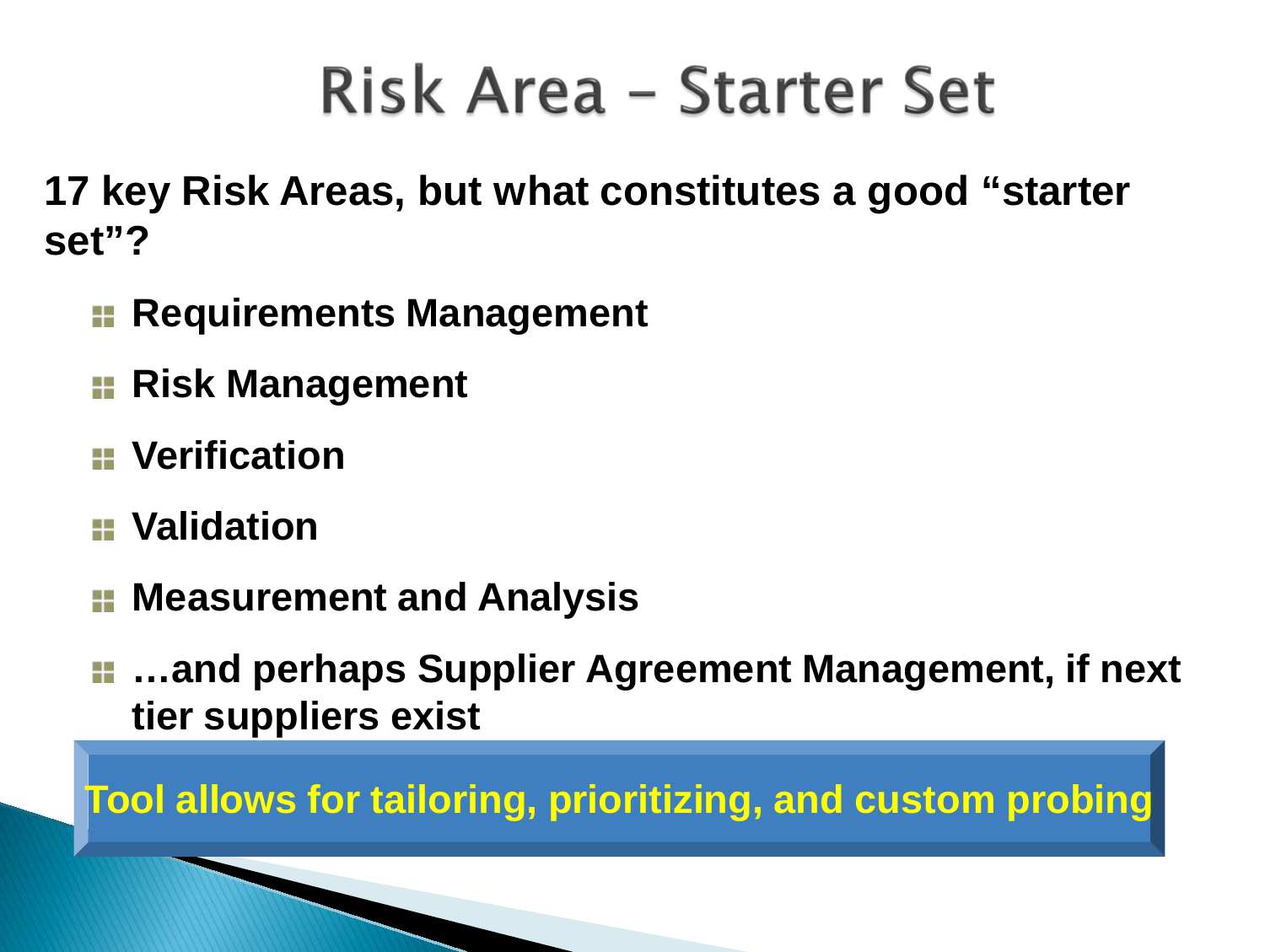## Risk Area - Starter Set

**17 key Risk Areas, but what constitutes a good "starter set"?**

- **Requirements Management**
- **Risk Management**
- **Verification**
- **Validation**
- **H** Measurement and Analysis
- **…and perhaps Supplier Agreement Management, if next tier suppliers exist**

**Tool allows for tailoring, prioritizing, and custom probing**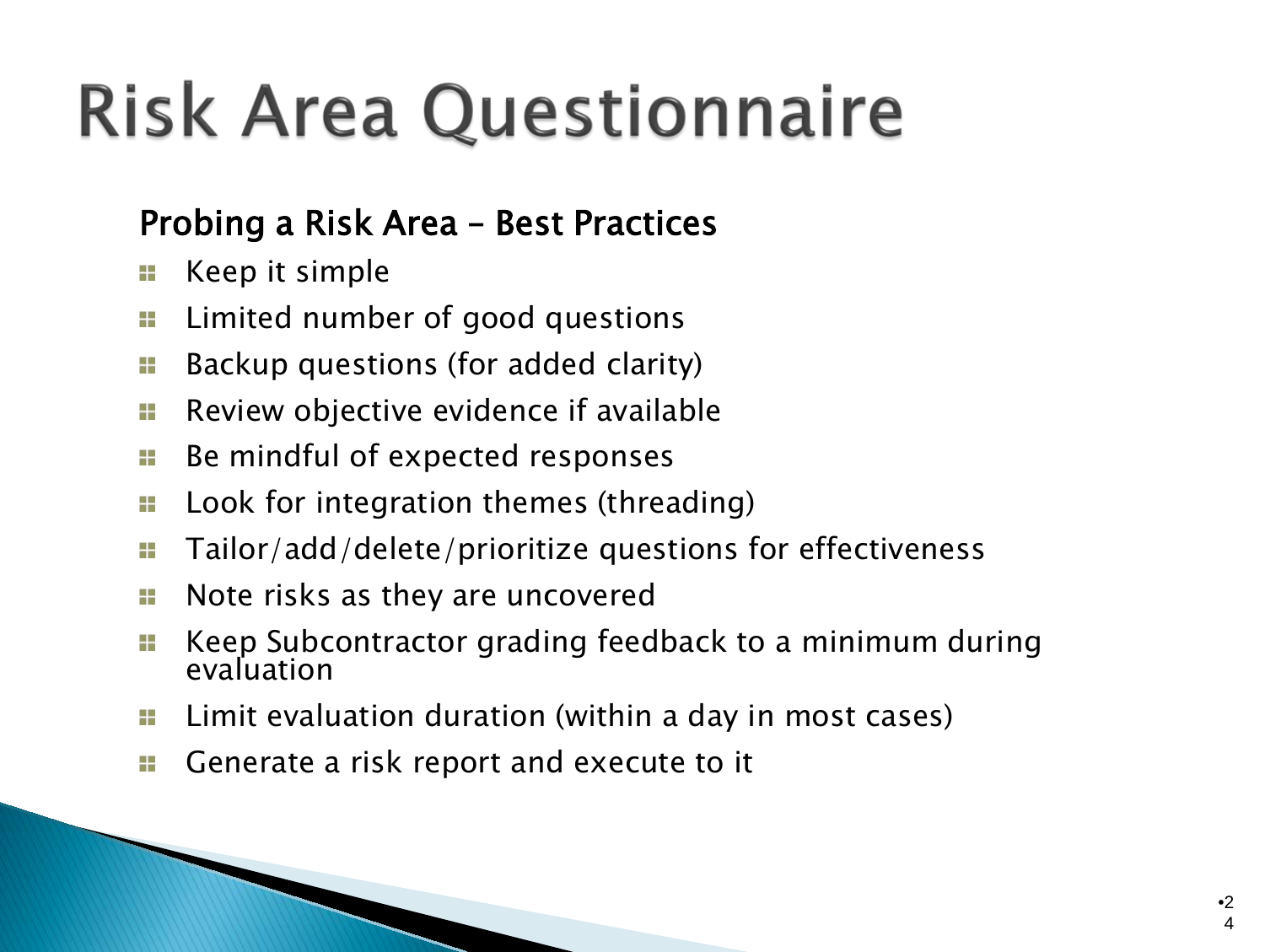# **Risk Area Questionnaire**

#### Probing a Risk Area – Best Practices

- Keep it simple A B
- Limited number of good questions a.
- Backup questions (for added clarity) a u
- Review objective evidence if available A H
- Be mindful of expected responses A B
- Look for integration themes (threading) A B
- Tailor/add/delete/prioritize questions for effectiveness a s
- Note risks as they are uncovered a e
- Keep Subcontractor grading feedback to a minimum during a e evaluation
- A B Limit evaluation duration (within a day in most cases)
- Generate a risk report and execute to it A H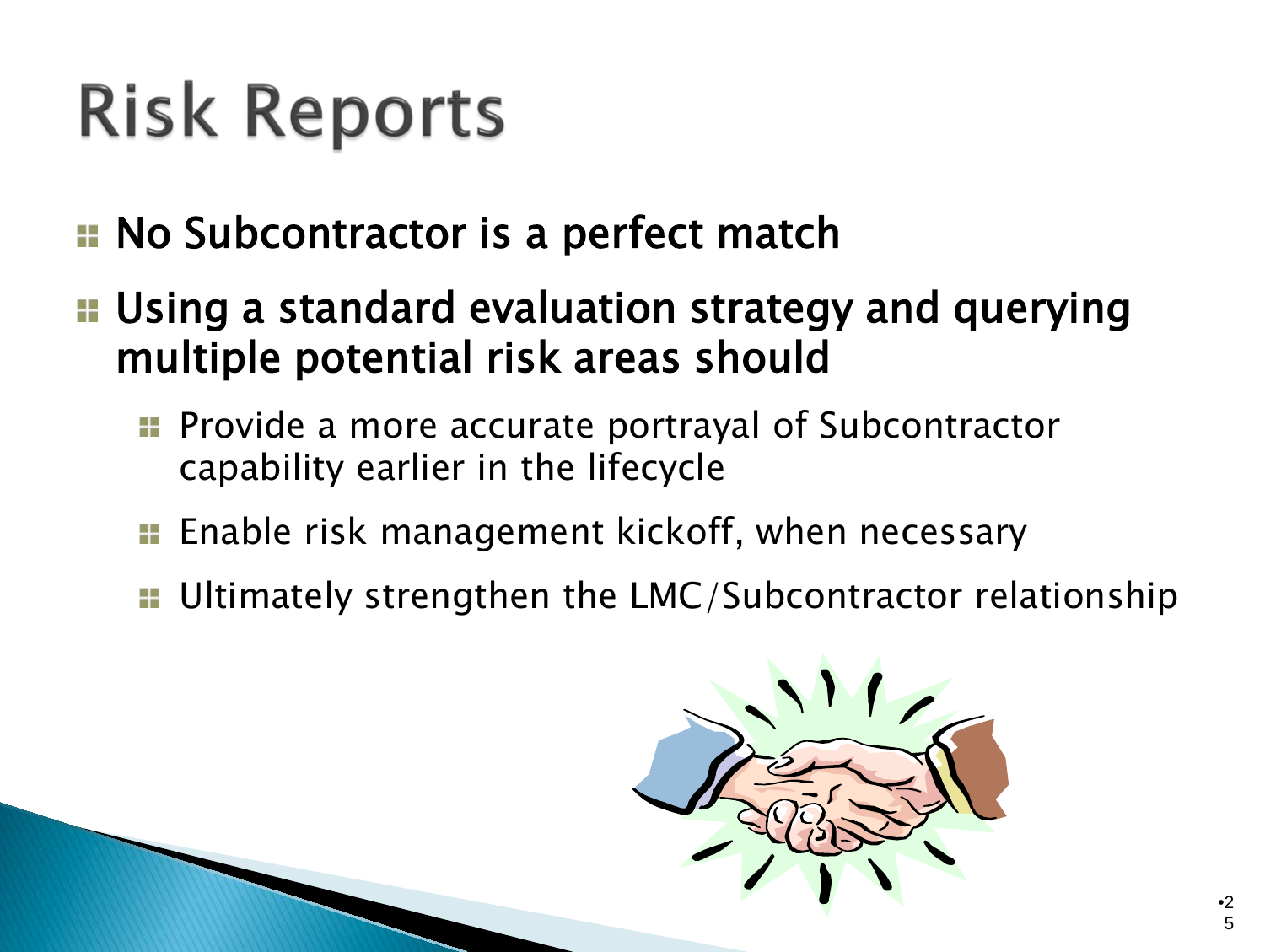# **Risk Reports**

- **E** No Subcontractor is a perfect match
- **E** Using a standard evaluation strategy and querying multiple potential risk areas should
	- **Provide a more accurate portrayal of Subcontractor** capability earlier in the lifecycle
	- **Enable risk management kickoff, when necessary**
	- **u.** Ultimately strengthen the LMC/Subcontractor relationship